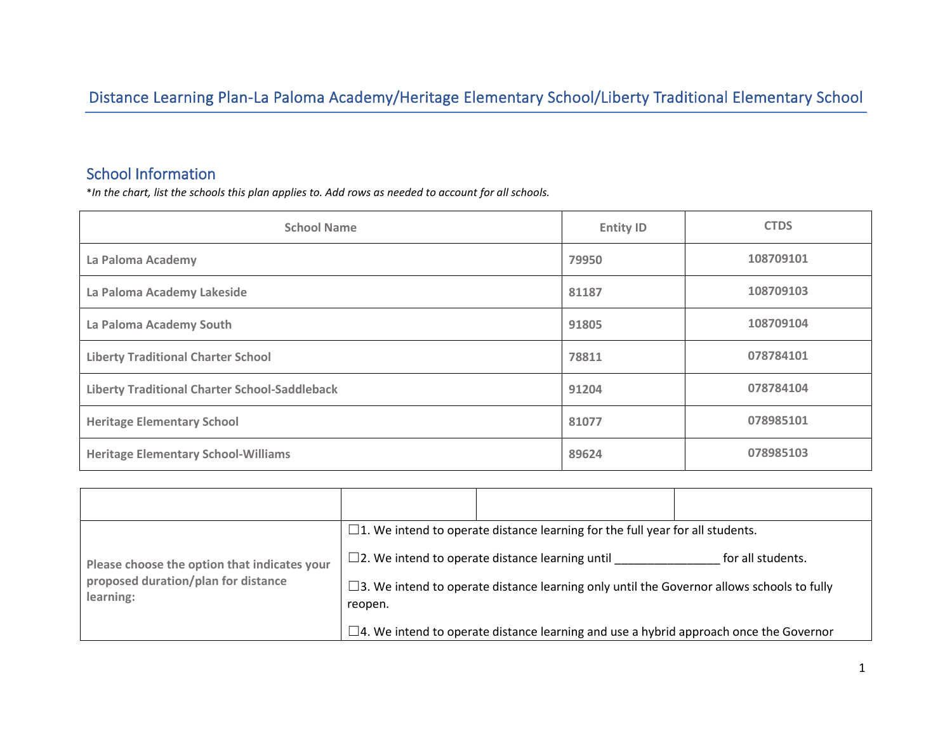# Distance Learning Plan-La Paloma Academy/Heritage Elementary School/Liberty Traditional Elementary School

# School Information

\**In the chart, list the schools this plan applies to. Add rows as needed to account for all schools.*

| <b>School Name</b>                                   | <b>Entity ID</b> | <b>CTDS</b> |
|------------------------------------------------------|------------------|-------------|
| La Paloma Academy                                    | 79950            | 108709101   |
| La Paloma Academy Lakeside                           | 81187            | 108709103   |
| La Paloma Academy South                              | 91805            | 108709104   |
| <b>Liberty Traditional Charter School</b>            | 78811            | 078784101   |
| <b>Liberty Traditional Charter School-Saddleback</b> | 91204            | 078784104   |
| <b>Heritage Elementary School</b>                    | 81077            | 078985101   |
| <b>Heritage Elementary School-Williams</b>           | 89624            | 078985103   |

|                                                  | $\Box$ 1. We intend to operate distance learning for the full year for all students.                           |                                                                                                 |  |
|--------------------------------------------------|----------------------------------------------------------------------------------------------------------------|-------------------------------------------------------------------------------------------------|--|
| Please choose the option that indicates your     | $\square$ 2. We intend to operate distance learning until<br>for all students.                                 |                                                                                                 |  |
| proposed duration/plan for distance<br>learning: | $\square$ 3. We intend to operate distance learning only until the Governor allows schools to fully<br>reopen. |                                                                                                 |  |
|                                                  |                                                                                                                | $\square$ 4. We intend to operate distance learning and use a hybrid approach once the Governor |  |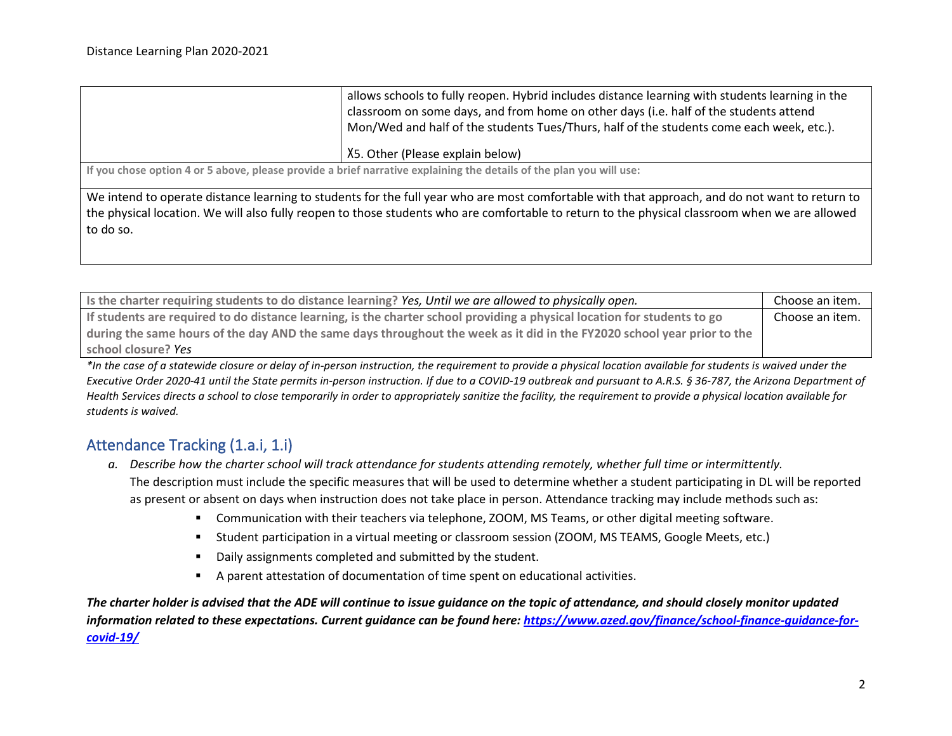|           | allows schools to fully reopen. Hybrid includes distance learning with students learning in the<br>classroom on some days, and from home on other days (i.e. half of the students attend<br>Mon/Wed and half of the students Tues/Thurs, half of the students come each week, etc.). |
|-----------|--------------------------------------------------------------------------------------------------------------------------------------------------------------------------------------------------------------------------------------------------------------------------------------|
|           | X5. Other (Please explain below)                                                                                                                                                                                                                                                     |
|           |                                                                                                                                                                                                                                                                                      |
|           | If you chose option 4 or 5 above, please provide a brief narrative explaining the details of the plan you will use:                                                                                                                                                                  |
|           | We intend to operate distance learning to students for the full year who are most comfortable with that approach, and do not want to return to                                                                                                                                       |
|           |                                                                                                                                                                                                                                                                                      |
|           | the physical location. We will also fully reopen to those students who are comfortable to return to the physical classroom when we are allowed                                                                                                                                       |
|           |                                                                                                                                                                                                                                                                                      |
| to do so. |                                                                                                                                                                                                                                                                                      |
|           |                                                                                                                                                                                                                                                                                      |
|           |                                                                                                                                                                                                                                                                                      |

| Is the charter requiring students to do distance learning? Yes, Until we are allowed to physically open.                 | Choose an item. |
|--------------------------------------------------------------------------------------------------------------------------|-----------------|
| If students are required to do distance learning, is the charter school providing a physical location for students to go | Choose an item. |
| during the same hours of the day AND the same days throughout the week as it did in the FY2020 school year prior to the  |                 |
| school closure? Yes                                                                                                      |                 |

*\*In the case of a statewide closure or delay of in-person instruction, the requirement to provide a physical location available for students is waived under the Executive Order 2020-41 until the State permits in-person instruction. If due to a COVID-19 outbreak and pursuant to A.R.S. § 36-787, the Arizona Department of Health Services directs a school to close temporarily in order to appropriately sanitize the facility, the requirement to provide a physical location available for students is waived.* 

# Attendance Tracking (1.a.i, 1.i)

- *a. Describe how the charter school will track attendance for students attending remotely, whether full time or intermittently.* The description must include the specific measures that will be used to determine whether a student participating in DL will be reported as present or absent on days when instruction does not take place in person. Attendance tracking may include methods such as:
	- Communication with their teachers via telephone, ZOOM, MS Teams, or other digital meeting software.
	- Student participation in a virtual meeting or classroom session (ZOOM, MS TEAMS, Google Meets, etc.)
	- Daily assignments completed and submitted by the student.
	- A parent attestation of documentation of time spent on educational activities.

*The charter holder is advised that the ADE will continue to issue guidance on the topic of attendance, and should closely monitor updated information related to these expectations. Current guidance can be found here[: https://www.azed.gov/finance/school-finance-guidance-for](https://www.azed.gov/finance/school-finance-guidance-for-covid-19/)[covid-19/](https://www.azed.gov/finance/school-finance-guidance-for-covid-19/)*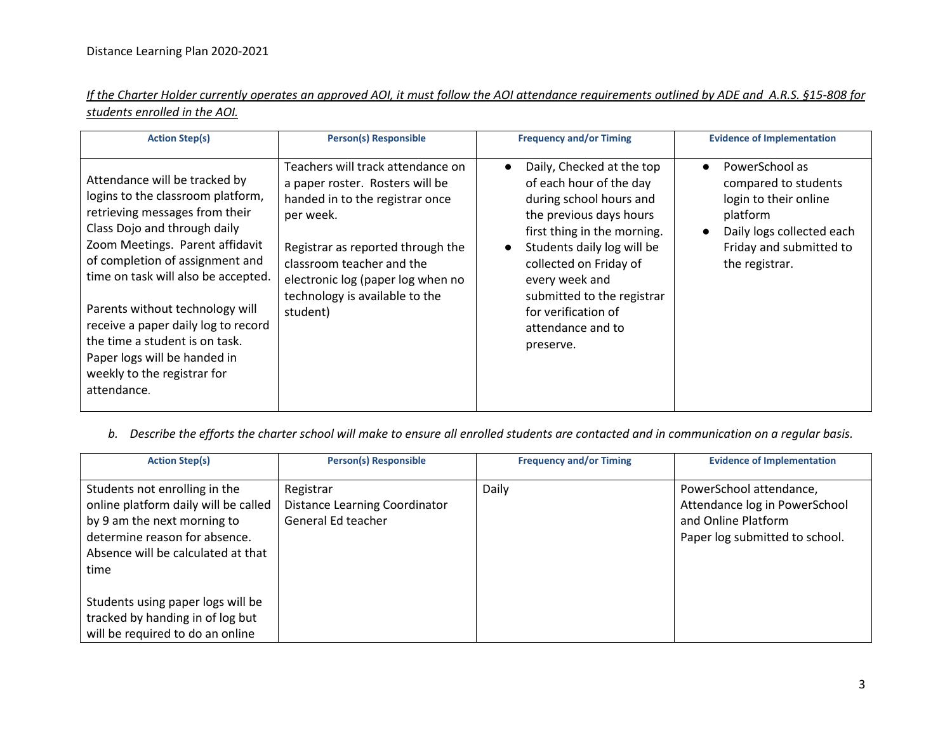| If the Charter Holder currently operates an approved AOI, it must follow the AOI attendance requirements outlined by ADE and A.R.S. §15-808 for |  |  |  |  |
|-------------------------------------------------------------------------------------------------------------------------------------------------|--|--|--|--|
| students enrolled in the AOI.                                                                                                                   |  |  |  |  |

| <b>Action Step(s)</b>                                                                                                                                                                                                                                                                                                                                                                                                                       | <b>Person(s) Responsible</b>                                                                                                                                                                                                                                              | <b>Frequency and/or Timing</b>                                                                                                                                                                                                                                                                                                       | <b>Evidence of Implementation</b>                                                                                                                                  |
|---------------------------------------------------------------------------------------------------------------------------------------------------------------------------------------------------------------------------------------------------------------------------------------------------------------------------------------------------------------------------------------------------------------------------------------------|---------------------------------------------------------------------------------------------------------------------------------------------------------------------------------------------------------------------------------------------------------------------------|--------------------------------------------------------------------------------------------------------------------------------------------------------------------------------------------------------------------------------------------------------------------------------------------------------------------------------------|--------------------------------------------------------------------------------------------------------------------------------------------------------------------|
| Attendance will be tracked by<br>logins to the classroom platform,<br>retrieving messages from their<br>Class Dojo and through daily<br>Zoom Meetings. Parent affidavit<br>of completion of assignment and<br>time on task will also be accepted.<br>Parents without technology will<br>receive a paper daily log to record<br>the time a student is on task.<br>Paper logs will be handed in<br>weekly to the registrar for<br>attendance. | Teachers will track attendance on<br>a paper roster. Rosters will be<br>handed in to the registrar once<br>per week.<br>Registrar as reported through the<br>classroom teacher and the<br>electronic log (paper log when no<br>technology is available to the<br>student) | Daily, Checked at the top<br>$\bullet$<br>of each hour of the day<br>during school hours and<br>the previous days hours<br>first thing in the morning.<br>Students daily log will be<br>$\bullet$<br>collected on Friday of<br>every week and<br>submitted to the registrar<br>for verification of<br>attendance and to<br>preserve. | PowerSchool as<br>$\bullet$<br>compared to students<br>login to their online<br>platform<br>Daily logs collected each<br>Friday and submitted to<br>the registrar. |

*b. Describe the efforts the charter school will make to ensure all enrolled students are contacted and in communication on a regular basis.* 

| <b>Action Step(s)</b>                                                                                                                                                               | <b>Person(s) Responsible</b>                                            | <b>Frequency and/or Timing</b> | <b>Evidence of Implementation</b>                                                                                 |
|-------------------------------------------------------------------------------------------------------------------------------------------------------------------------------------|-------------------------------------------------------------------------|--------------------------------|-------------------------------------------------------------------------------------------------------------------|
| Students not enrolling in the<br>online platform daily will be called<br>by 9 am the next morning to<br>determine reason for absence.<br>Absence will be calculated at that<br>time | Registrar<br><b>Distance Learning Coordinator</b><br>General Ed teacher | Daily                          | PowerSchool attendance,<br>Attendance log in PowerSchool<br>and Online Platform<br>Paper log submitted to school. |
| Students using paper logs will be<br>tracked by handing in of log but<br>will be required to do an online                                                                           |                                                                         |                                |                                                                                                                   |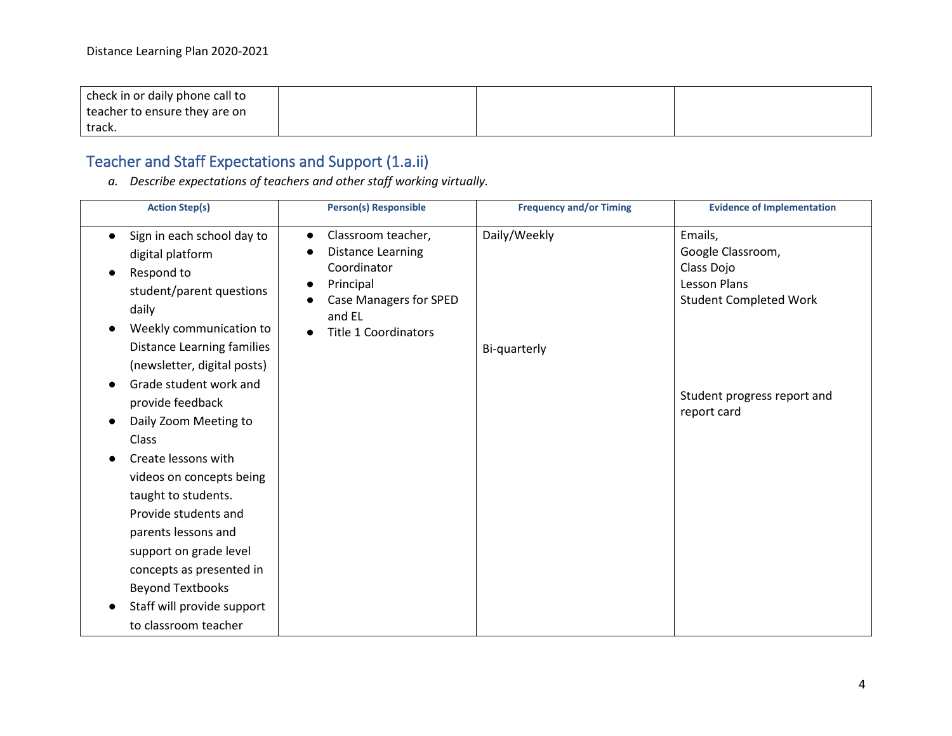| check in or daily phone call to |  |  |
|---------------------------------|--|--|
| teacher to ensure they are on   |  |  |
| track.                          |  |  |

# Teacher and Staff Expectations and Support (1.a.ii)

*a. Describe expectations of teachers and other staff working virtually.* 

| <b>Action Step(s)</b>                                                                                                                                                                                     | <b>Person(s) Responsible</b>                                                                                                                                            | <b>Frequency and/or Timing</b> | <b>Evidence of Implementation</b>                                                           |
|-----------------------------------------------------------------------------------------------------------------------------------------------------------------------------------------------------------|-------------------------------------------------------------------------------------------------------------------------------------------------------------------------|--------------------------------|---------------------------------------------------------------------------------------------|
| Sign in each school day to<br>$\bullet$<br>digital platform<br>Respond to<br>$\bullet$<br>student/parent questions<br>daily<br>Weekly communication to<br>Distance Learning families                      | Classroom teacher,<br>$\bullet$<br>Distance Learning<br>Coordinator<br>Principal<br>$\bullet$<br><b>Case Managers for SPED</b><br>and EL<br><b>Title 1 Coordinators</b> | Daily/Weekly<br>Bi-quarterly   | Emails,<br>Google Classroom,<br>Class Dojo<br>Lesson Plans<br><b>Student Completed Work</b> |
| (newsletter, digital posts)<br>Grade student work and<br>provide feedback<br>Daily Zoom Meeting to<br>Class<br>Create lessons with<br>videos on concepts being                                            |                                                                                                                                                                         |                                | Student progress report and<br>report card                                                  |
| taught to students.<br>Provide students and<br>parents lessons and<br>support on grade level<br>concepts as presented in<br><b>Beyond Textbooks</b><br>Staff will provide support<br>to classroom teacher |                                                                                                                                                                         |                                |                                                                                             |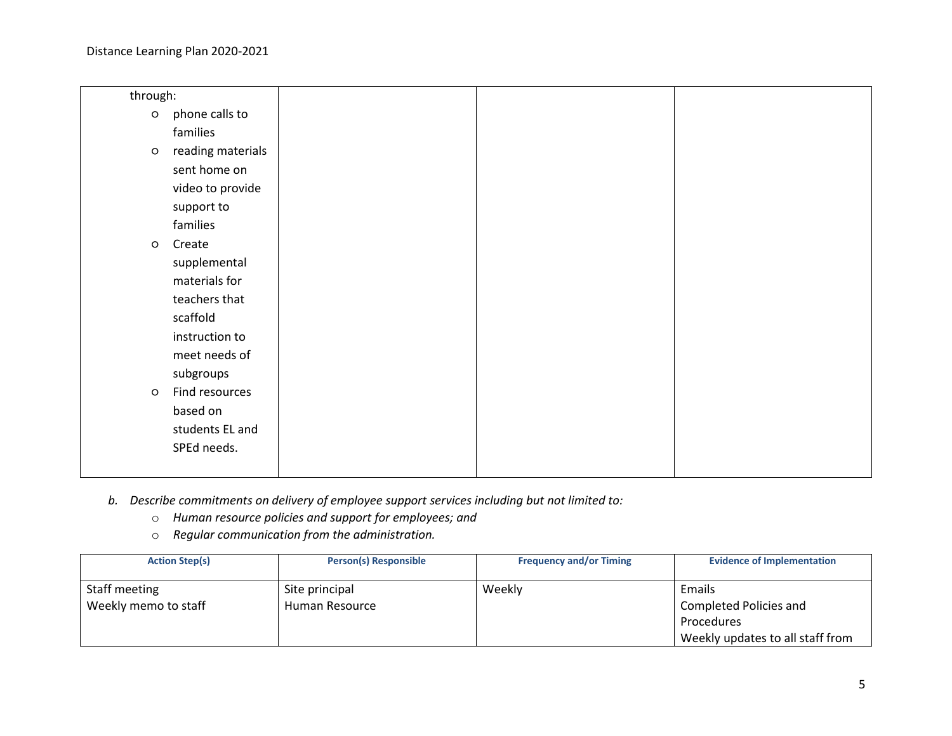| through: |                   |  |  |
|----------|-------------------|--|--|
| $\circ$  | phone calls to    |  |  |
|          | families          |  |  |
| $\circ$  | reading materials |  |  |
|          | sent home on      |  |  |
|          | video to provide  |  |  |
|          | support to        |  |  |
|          | families          |  |  |
| $\circ$  | Create            |  |  |
|          | supplemental      |  |  |
|          | materials for     |  |  |
|          | teachers that     |  |  |
|          | scaffold          |  |  |
|          | instruction to    |  |  |
|          | meet needs of     |  |  |
|          | subgroups         |  |  |
| $\circ$  | Find resources    |  |  |
|          | based on          |  |  |
|          | students EL and   |  |  |
|          | SPEd needs.       |  |  |
|          |                   |  |  |

- *b. Describe commitments on delivery of employee support services including but not limited to:*
	- o *Human resource policies and support for employees; and*
	- o *Regular communication from the administration.*

| <b>Action Step(s)</b>                 | <b>Person(s) Responsible</b>     | <b>Frequency and/or Timing</b> | <b>Evidence of Implementation</b>                                                         |
|---------------------------------------|----------------------------------|--------------------------------|-------------------------------------------------------------------------------------------|
| Staff meeting<br>Weekly memo to staff | Site principal<br>Human Resource | Weekly                         | Emails<br>Completed Policies and<br><b>Procedures</b><br>Weekly updates to all staff from |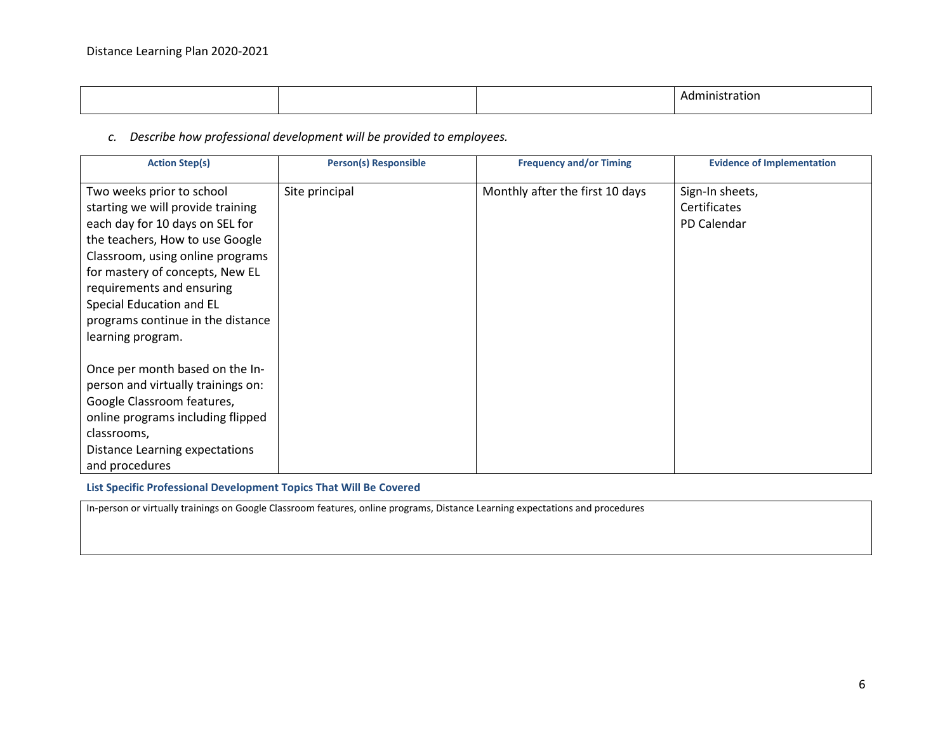| -<br>Adi<br>но |
|----------------|

*c. Describe how professional development will be provided to employees.*

| <b>Action Step(s)</b>              | <b>Person(s) Responsible</b> | <b>Frequency and/or Timing</b>  | <b>Evidence of Implementation</b> |
|------------------------------------|------------------------------|---------------------------------|-----------------------------------|
| Two weeks prior to school          | Site principal               | Monthly after the first 10 days | Sign-In sheets,                   |
| starting we will provide training  |                              |                                 | Certificates                      |
| each day for 10 days on SEL for    |                              |                                 | PD Calendar                       |
| the teachers, How to use Google    |                              |                                 |                                   |
| Classroom, using online programs   |                              |                                 |                                   |
| for mastery of concepts, New EL    |                              |                                 |                                   |
| requirements and ensuring          |                              |                                 |                                   |
| Special Education and EL           |                              |                                 |                                   |
| programs continue in the distance  |                              |                                 |                                   |
| learning program.                  |                              |                                 |                                   |
|                                    |                              |                                 |                                   |
| Once per month based on the In-    |                              |                                 |                                   |
| person and virtually trainings on: |                              |                                 |                                   |
| Google Classroom features,         |                              |                                 |                                   |
| online programs including flipped  |                              |                                 |                                   |
| classrooms,                        |                              |                                 |                                   |
| Distance Learning expectations     |                              |                                 |                                   |
| and procedures                     |                              |                                 |                                   |

**List Specific Professional Development Topics That Will Be Covered**

In-person or virtually trainings on Google Classroom features, online programs, Distance Learning expectations and procedures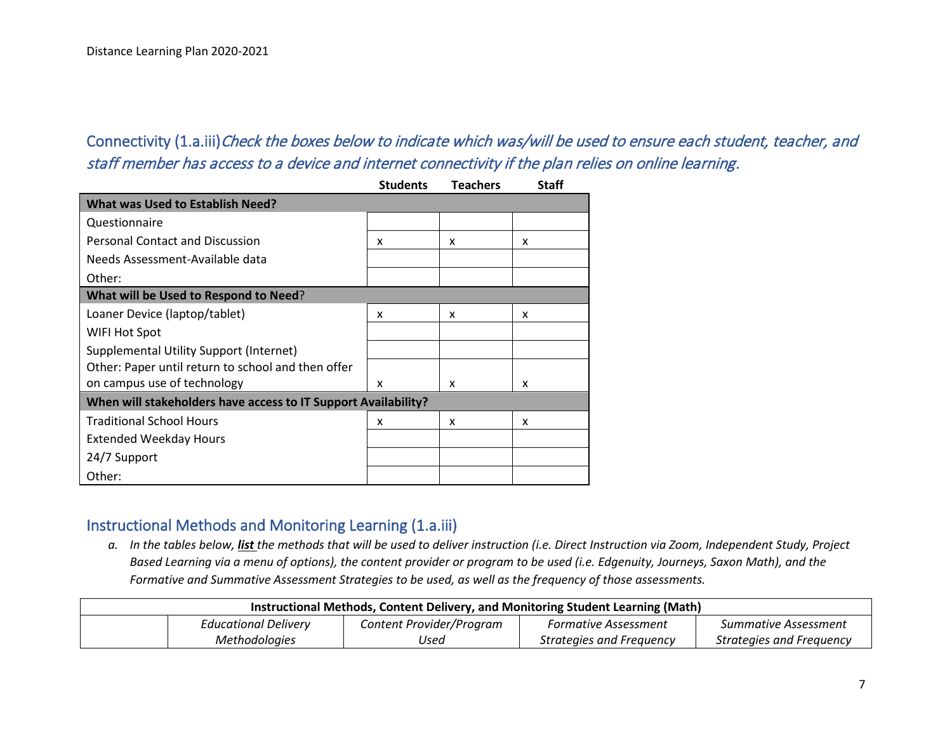# Connectivity (1.a.iii)Check the boxes below to indicate which was/will be used to ensure each student, teacher, and staff member has access to a device and internet connectivity if the plan relies on online learning.

|                                                                | <b>Students</b> | <b>Teachers</b> | <b>Staff</b> |
|----------------------------------------------------------------|-----------------|-----------------|--------------|
| <b>What was Used to Establish Need?</b>                        |                 |                 |              |
| Questionnaire                                                  |                 |                 |              |
| <b>Personal Contact and Discussion</b>                         | x               | x               | x            |
| Needs Assessment-Available data                                |                 |                 |              |
| Other:                                                         |                 |                 |              |
| What will be Used to Respond to Need?                          |                 |                 |              |
| Loaner Device (laptop/tablet)                                  | x               | x               | x            |
| WIFI Hot Spot                                                  |                 |                 |              |
| Supplemental Utility Support (Internet)                        |                 |                 |              |
| Other: Paper until return to school and then offer             |                 |                 |              |
| on campus use of technology                                    | x               | x               | x            |
| When will stakeholders have access to IT Support Availability? |                 |                 |              |
| <b>Traditional School Hours</b>                                | x               | x               | x            |
| <b>Extended Weekday Hours</b>                                  |                 |                 |              |
| 24/7 Support                                                   |                 |                 |              |
| Other:                                                         |                 |                 |              |

### Instructional Methods and Monitoring Learning (1.a.iii)

*a. In the tables below, list the methods that will be used to deliver instruction (i.e. Direct Instruction via Zoom, Independent Study, Project Based Learning via a menu of options), the content provider or program to be used (i.e. Edgenuity, Journeys, Saxon Math), and the Formative and Summative Assessment Strategies to be used, as well as the frequency of those assessments.*

| Instructional Methods, Content Delivery, and Monitoring Student Learning (Math) |                             |                          |                             |                          |
|---------------------------------------------------------------------------------|-----------------------------|--------------------------|-----------------------------|--------------------------|
|                                                                                 | <b>Educational Delivery</b> | Content Provider/Program | <b>Formative Assessment</b> | Summative Assessment     |
|                                                                                 | <b>Methodologies</b>        | Used                     | Strategies and Freguency    | Strategies and Freguency |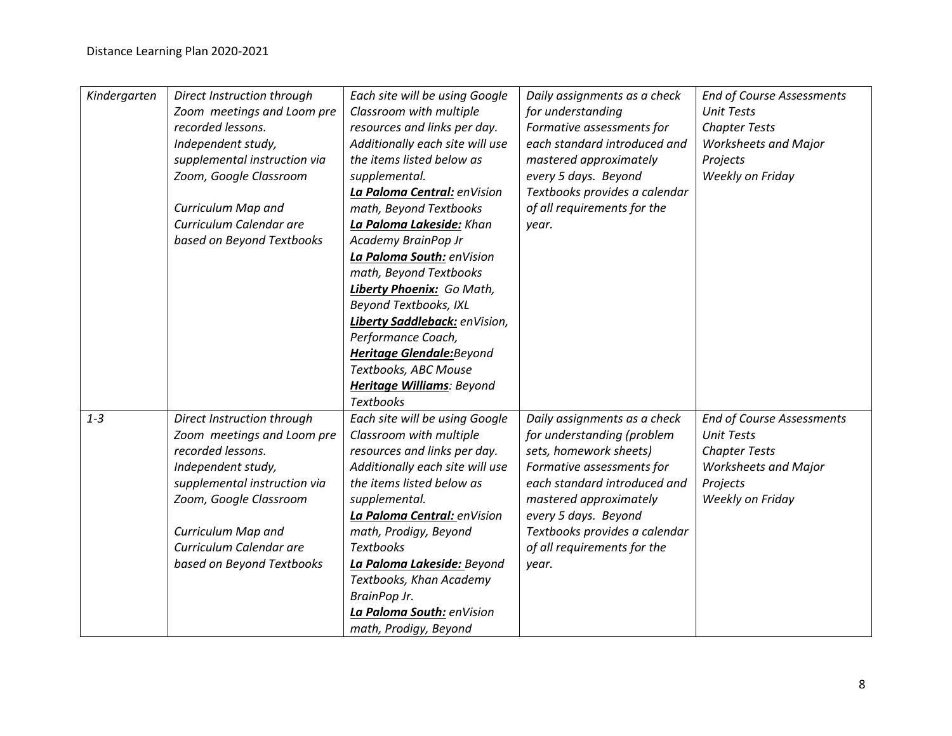| Kindergarten | Direct Instruction through   | Each site will be using Google   | Daily assignments as a check  | <b>End of Course Assessments</b> |
|--------------|------------------------------|----------------------------------|-------------------------------|----------------------------------|
|              | Zoom meetings and Loom pre   | Classroom with multiple          | for understanding             | <b>Unit Tests</b>                |
|              | recorded lessons.            | resources and links per day.     | Formative assessments for     | <b>Chapter Tests</b>             |
|              | Independent study,           | Additionally each site will use  | each standard introduced and  | <b>Worksheets and Major</b>      |
|              | supplemental instruction via | the items listed below as        | mastered approximately        | Projects                         |
|              | Zoom, Google Classroom       | supplemental.                    | every 5 days. Beyond          | Weekly on Friday                 |
|              |                              | La Paloma Central: enVision      | Textbooks provides a calendar |                                  |
|              | Curriculum Map and           | math, Beyond Textbooks           | of all requirements for the   |                                  |
|              | Curriculum Calendar are      | La Paloma Lakeside: Khan         | year.                         |                                  |
|              | based on Beyond Textbooks    | Academy BrainPop Jr              |                               |                                  |
|              |                              | La Paloma South: enVision        |                               |                                  |
|              |                              | math, Beyond Textbooks           |                               |                                  |
|              |                              | Liberty Phoenix: Go Math,        |                               |                                  |
|              |                              | Beyond Textbooks, IXL            |                               |                                  |
|              |                              | Liberty Saddleback: enVision,    |                               |                                  |
|              |                              | Performance Coach,               |                               |                                  |
|              |                              | <b>Heritage Glendale:</b> Beyond |                               |                                  |
|              |                              | Textbooks, ABC Mouse             |                               |                                  |
|              |                              | <b>Heritage Williams: Beyond</b> |                               |                                  |
|              |                              | <b>Textbooks</b>                 |                               |                                  |
| $1 - 3$      | Direct Instruction through   | Each site will be using Google   | Daily assignments as a check  | <b>End of Course Assessments</b> |
|              | Zoom meetings and Loom pre   | Classroom with multiple          | for understanding (problem    | <b>Unit Tests</b>                |
|              | recorded lessons.            | resources and links per day.     | sets, homework sheets)        | <b>Chapter Tests</b>             |
|              | Independent study,           | Additionally each site will use  | Formative assessments for     | <b>Worksheets and Major</b>      |
|              | supplemental instruction via | the items listed below as        | each standard introduced and  | Projects                         |
|              | Zoom, Google Classroom       | supplemental.                    | mastered approximately        | Weekly on Friday                 |
|              |                              | La Paloma Central: enVision      | every 5 days. Beyond          |                                  |
|              | Curriculum Map and           | math, Prodigy, Beyond            | Textbooks provides a calendar |                                  |
|              | Curriculum Calendar are      | <b>Textbooks</b>                 | of all requirements for the   |                                  |
|              | based on Beyond Textbooks    | La Paloma Lakeside: Beyond       | year.                         |                                  |
|              |                              | Textbooks, Khan Academy          |                               |                                  |
|              |                              | BrainPop Jr.                     |                               |                                  |
|              |                              | La Paloma South: enVision        |                               |                                  |
|              |                              | math, Prodigy, Beyond            |                               |                                  |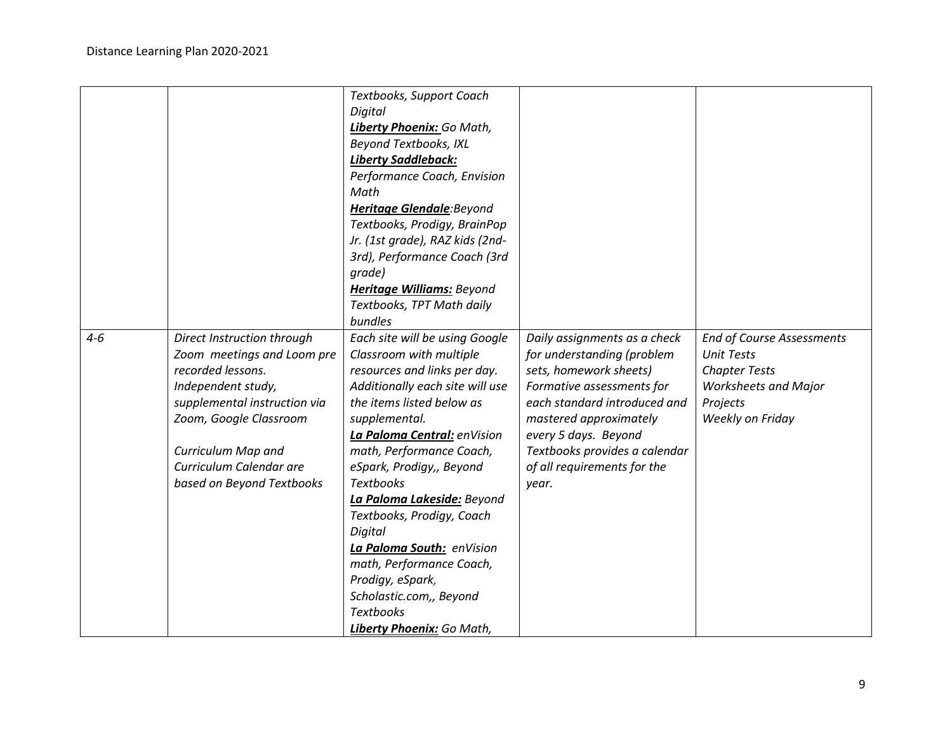|         |                              | Textbooks, Support Coach        |                               |                                  |
|---------|------------------------------|---------------------------------|-------------------------------|----------------------------------|
|         |                              | Digital                         |                               |                                  |
|         |                              | Liberty Phoenix: Go Math,       |                               |                                  |
|         |                              | Beyond Textbooks, IXL           |                               |                                  |
|         |                              | <b>Liberty Saddleback:</b>      |                               |                                  |
|         |                              | Performance Coach, Envision     |                               |                                  |
|         |                              | Math                            |                               |                                  |
|         |                              | Heritage Glendale: Beyond       |                               |                                  |
|         |                              | Textbooks, Prodigy, BrainPop    |                               |                                  |
|         |                              | Jr. (1st grade), RAZ kids (2nd- |                               |                                  |
|         |                              | 3rd), Performance Coach (3rd    |                               |                                  |
|         |                              | grade)                          |                               |                                  |
|         |                              | Heritage Williams: Beyond       |                               |                                  |
|         |                              | Textbooks, TPT Math daily       |                               |                                  |
|         |                              | bundles                         |                               |                                  |
| $4 - 6$ | Direct Instruction through   | Each site will be using Google  | Daily assignments as a check  | <b>End of Course Assessments</b> |
|         | Zoom meetings and Loom pre   | Classroom with multiple         | for understanding (problem    | <b>Unit Tests</b>                |
|         | recorded lessons.            | resources and links per day.    | sets, homework sheets)        | <b>Chapter Tests</b>             |
|         | Independent study,           | Additionally each site will use | Formative assessments for     | <b>Worksheets and Major</b>      |
|         | supplemental instruction via | the items listed below as       | each standard introduced and  | Projects                         |
|         | Zoom, Google Classroom       | supplemental.                   | mastered approximately        | Weekly on Friday                 |
|         |                              | La Paloma Central: enVision     | every 5 days. Beyond          |                                  |
|         | Curriculum Map and           | math, Performance Coach,        | Textbooks provides a calendar |                                  |
|         | Curriculum Calendar are      | eSpark, Prodigy,, Beyond        | of all requirements for the   |                                  |
|         |                              | <b>Textbooks</b>                |                               |                                  |
|         | based on Beyond Textbooks    |                                 | year.                         |                                  |
|         |                              | La Paloma Lakeside: Beyond      |                               |                                  |
|         |                              | Textbooks, Prodigy, Coach       |                               |                                  |
|         |                              | Digital                         |                               |                                  |
|         |                              | La Paloma South: enVision       |                               |                                  |
|         |                              | math, Performance Coach,        |                               |                                  |
|         |                              | Prodigy, eSpark,                |                               |                                  |
|         |                              | Scholastic.com,, Beyond         |                               |                                  |
|         |                              | <b>Textbooks</b>                |                               |                                  |
|         |                              | Liberty Phoenix: Go Math,       |                               |                                  |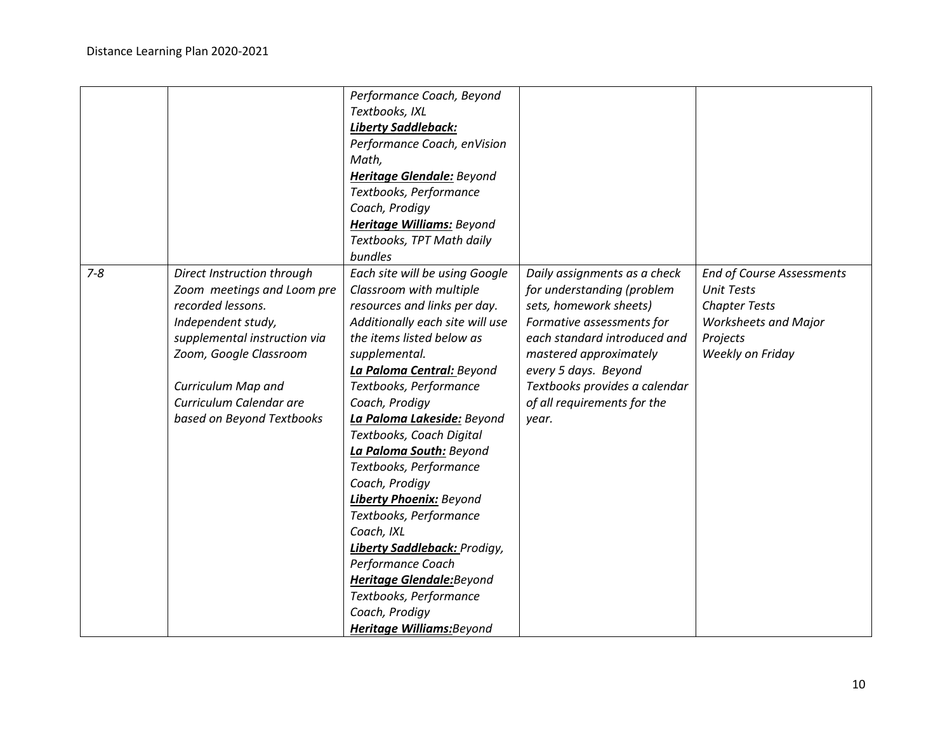|         |                                                                                                                                                                                                                                             | Performance Coach, Beyond<br>Textbooks, IXL<br><b>Liberty Saddleback:</b><br>Performance Coach, enVision<br>Math,<br><b>Heritage Glendale:</b> Beyond<br>Textbooks, Performance<br>Coach, Prodigy<br>Heritage Williams: Beyond<br>Textbooks, TPT Math daily<br>bundles                                                                                                                                                                                                                                                                                                                                                                  |                                                                                                                                                                                                                                                                              |                                                                                                                                              |
|---------|---------------------------------------------------------------------------------------------------------------------------------------------------------------------------------------------------------------------------------------------|-----------------------------------------------------------------------------------------------------------------------------------------------------------------------------------------------------------------------------------------------------------------------------------------------------------------------------------------------------------------------------------------------------------------------------------------------------------------------------------------------------------------------------------------------------------------------------------------------------------------------------------------|------------------------------------------------------------------------------------------------------------------------------------------------------------------------------------------------------------------------------------------------------------------------------|----------------------------------------------------------------------------------------------------------------------------------------------|
| $7 - 8$ | Direct Instruction through<br>Zoom meetings and Loom pre<br>recorded lessons.<br>Independent study,<br>supplemental instruction via<br>Zoom, Google Classroom<br>Curriculum Map and<br>Curriculum Calendar are<br>based on Beyond Textbooks | Each site will be using Google<br>Classroom with multiple<br>resources and links per day.<br>Additionally each site will use<br>the items listed below as<br>supplemental.<br>La Paloma Central: Beyond<br>Textbooks, Performance<br>Coach, Prodigy<br>La Paloma Lakeside: Beyond<br>Textbooks, Coach Digital<br>La Paloma South: Beyond<br>Textbooks, Performance<br>Coach, Prodigy<br><b>Liberty Phoenix: Beyond</b><br>Textbooks, Performance<br>Coach, IXL<br><b>Liberty Saddleback: Prodigy,</b><br>Performance Coach<br><b>Heritage Glendale:</b> Beyond<br>Textbooks, Performance<br>Coach, Prodigy<br>Heritage Williams: Beyond | Daily assignments as a check<br>for understanding (problem<br>sets, homework sheets)<br>Formative assessments for<br>each standard introduced and<br>mastered approximately<br>every 5 days. Beyond<br>Textbooks provides a calendar<br>of all requirements for the<br>year. | <b>End of Course Assessments</b><br><b>Unit Tests</b><br><b>Chapter Tests</b><br><b>Worksheets and Major</b><br>Projects<br>Weekly on Friday |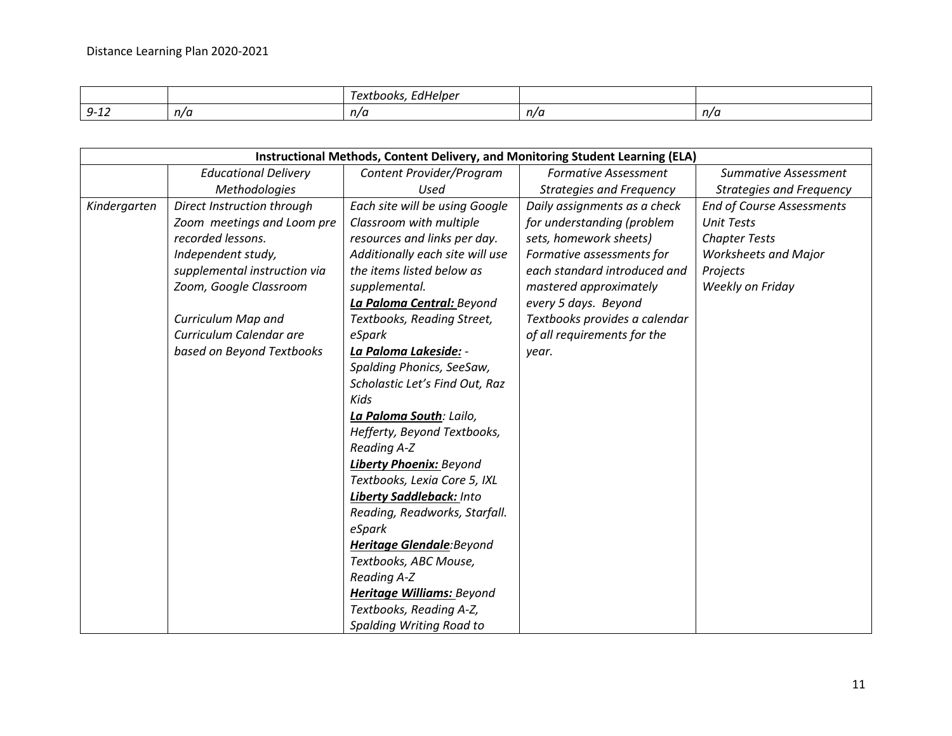|                               |     | -111<br>I extbooks<br>dHelber_ |     |     |
|-------------------------------|-----|--------------------------------|-----|-----|
| . .<br>--<br>$-1$<br><u>.</u> | n/a | n/a                            | n/a | n/a |

|              |                              | Instructional Methods, Content Delivery, and Monitoring Student Learning (ELA) |                                 |                                  |
|--------------|------------------------------|--------------------------------------------------------------------------------|---------------------------------|----------------------------------|
|              | <b>Educational Delivery</b>  | Content Provider/Program                                                       | <b>Formative Assessment</b>     | <b>Summative Assessment</b>      |
|              | Methodologies                | Used                                                                           | <b>Strategies and Frequency</b> | <b>Strategies and Frequency</b>  |
| Kindergarten | Direct Instruction through   | Each site will be using Google                                                 | Daily assignments as a check    | <b>End of Course Assessments</b> |
|              | Zoom meetings and Loom pre   | Classroom with multiple                                                        | for understanding (problem      | <b>Unit Tests</b>                |
|              | recorded lessons.            | resources and links per day.                                                   | sets, homework sheets)          | <b>Chapter Tests</b>             |
|              | Independent study,           | Additionally each site will use                                                | Formative assessments for       | <b>Worksheets and Major</b>      |
|              | supplemental instruction via | the items listed below as                                                      | each standard introduced and    | Projects                         |
|              | Zoom, Google Classroom       | supplemental.                                                                  | mastered approximately          | Weekly on Friday                 |
|              |                              | La Paloma Central: Beyond                                                      | every 5 days. Beyond            |                                  |
|              | Curriculum Map and           | Textbooks, Reading Street,                                                     | Textbooks provides a calendar   |                                  |
|              | Curriculum Calendar are      | eSpark                                                                         | of all requirements for the     |                                  |
|              | based on Beyond Textbooks    | La Paloma Lakeside: -                                                          | year.                           |                                  |
|              |                              | Spalding Phonics, SeeSaw,                                                      |                                 |                                  |
|              |                              | Scholastic Let's Find Out, Raz                                                 |                                 |                                  |
|              |                              | Kids                                                                           |                                 |                                  |
|              |                              | La Paloma South: Lailo,                                                        |                                 |                                  |
|              |                              | Hefferty, Beyond Textbooks,                                                    |                                 |                                  |
|              |                              | <b>Reading A-Z</b>                                                             |                                 |                                  |
|              |                              | <b>Liberty Phoenix: Beyond</b>                                                 |                                 |                                  |
|              |                              | Textbooks, Lexia Core 5, IXL                                                   |                                 |                                  |
|              |                              | Liberty Saddleback: Into                                                       |                                 |                                  |
|              |                              | Reading, Readworks, Starfall.                                                  |                                 |                                  |
|              |                              | eSpark                                                                         |                                 |                                  |
|              |                              | Heritage Glendale: Beyond                                                      |                                 |                                  |
|              |                              | Textbooks, ABC Mouse,                                                          |                                 |                                  |
|              |                              | Reading A-Z                                                                    |                                 |                                  |
|              |                              | <b>Heritage Williams: Beyond</b>                                               |                                 |                                  |
|              |                              | Textbooks, Reading A-Z,                                                        |                                 |                                  |
|              |                              | Spalding Writing Road to                                                       |                                 |                                  |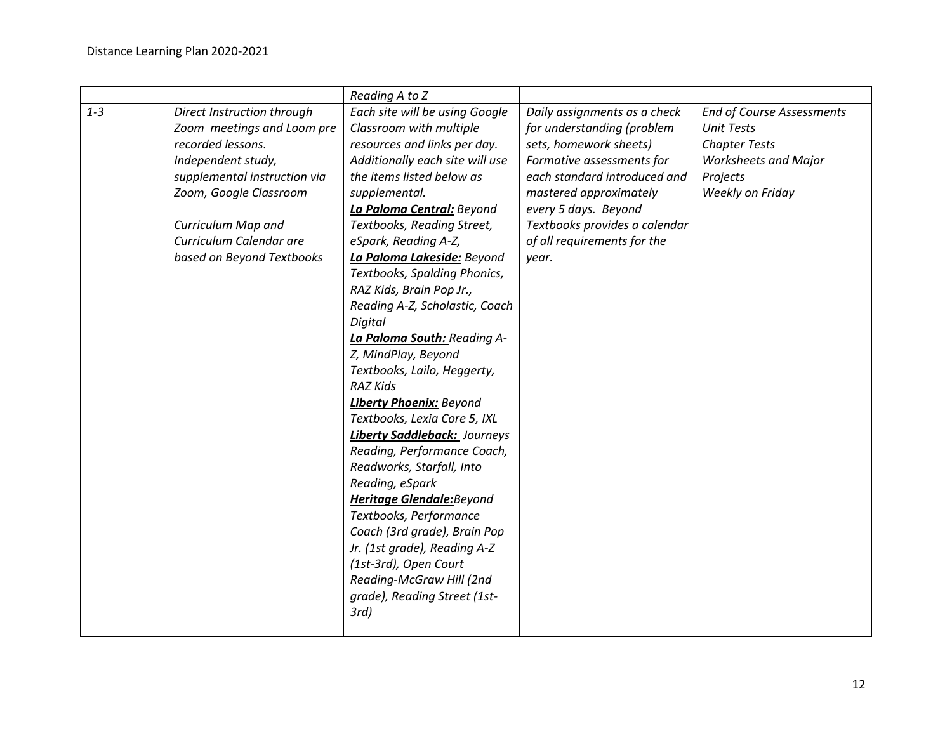|         |                                                                                                                                                                                                                                             | Reading A to Z                                                                                                                                                                                                                                                                                                                                                                                                                                                                                                                                                                                                                                                                                                                                                                                                              |                                                                                                                                                                                                                                                                              |                                                                                                                                              |
|---------|---------------------------------------------------------------------------------------------------------------------------------------------------------------------------------------------------------------------------------------------|-----------------------------------------------------------------------------------------------------------------------------------------------------------------------------------------------------------------------------------------------------------------------------------------------------------------------------------------------------------------------------------------------------------------------------------------------------------------------------------------------------------------------------------------------------------------------------------------------------------------------------------------------------------------------------------------------------------------------------------------------------------------------------------------------------------------------------|------------------------------------------------------------------------------------------------------------------------------------------------------------------------------------------------------------------------------------------------------------------------------|----------------------------------------------------------------------------------------------------------------------------------------------|
| $1 - 3$ | Direct Instruction through<br>Zoom meetings and Loom pre<br>recorded lessons.<br>Independent study,<br>supplemental instruction via<br>Zoom, Google Classroom<br>Curriculum Map and<br>Curriculum Calendar are<br>based on Beyond Textbooks | Each site will be using Google<br>Classroom with multiple<br>resources and links per day.<br>Additionally each site will use<br>the items listed below as<br>supplemental.<br>La Paloma Central: Beyond<br>Textbooks, Reading Street,<br>eSpark, Reading A-Z,<br>La Paloma Lakeside: Beyond<br>Textbooks, Spalding Phonics,<br>RAZ Kids, Brain Pop Jr.,<br>Reading A-Z, Scholastic, Coach<br>Digital<br>La Paloma South: Reading A-<br>Z, MindPlay, Beyond<br>Textbooks, Lailo, Heggerty,<br><b>RAZ Kids</b><br><b>Liberty Phoenix: Beyond</b><br>Textbooks, Lexia Core 5, IXL<br>Liberty Saddleback: Journeys<br>Reading, Performance Coach,<br>Readworks, Starfall, Into<br>Reading, eSpark<br><b>Heritage Glendale:</b> Beyond<br>Textbooks, Performance<br>Coach (3rd grade), Brain Pop<br>Jr. (1st grade), Reading A-Z | Daily assignments as a check<br>for understanding (problem<br>sets, homework sheets)<br>Formative assessments for<br>each standard introduced and<br>mastered approximately<br>every 5 days. Beyond<br>Textbooks provides a calendar<br>of all requirements for the<br>year. | <b>End of Course Assessments</b><br><b>Unit Tests</b><br><b>Chapter Tests</b><br><b>Worksheets and Major</b><br>Projects<br>Weekly on Friday |
|         |                                                                                                                                                                                                                                             | (1st-3rd), Open Court<br>Reading-McGraw Hill (2nd<br>grade), Reading Street (1st-<br>$3rd$ )                                                                                                                                                                                                                                                                                                                                                                                                                                                                                                                                                                                                                                                                                                                                |                                                                                                                                                                                                                                                                              |                                                                                                                                              |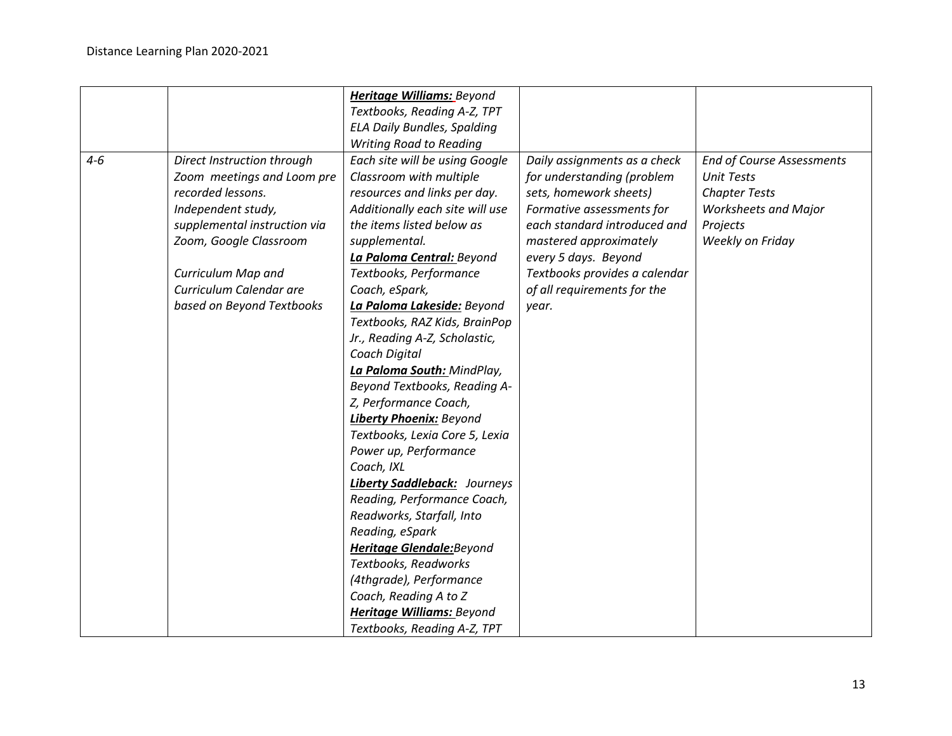|         |                              | <b>Heritage Williams: Beyond</b>    |                               |                                  |
|---------|------------------------------|-------------------------------------|-------------------------------|----------------------------------|
|         |                              | Textbooks, Reading A-Z, TPT         |                               |                                  |
|         |                              | <b>ELA Daily Bundles, Spalding</b>  |                               |                                  |
|         |                              | <b>Writing Road to Reading</b>      |                               |                                  |
| $4 - 6$ | Direct Instruction through   | Each site will be using Google      | Daily assignments as a check  | <b>End of Course Assessments</b> |
|         | Zoom meetings and Loom pre   | Classroom with multiple             | for understanding (problem    | <b>Unit Tests</b>                |
|         | recorded lessons.            | resources and links per day.        | sets, homework sheets)        | <b>Chapter Tests</b>             |
|         | Independent study,           | Additionally each site will use     | Formative assessments for     | <b>Worksheets and Major</b>      |
|         | supplemental instruction via | the items listed below as           | each standard introduced and  | Projects                         |
|         | Zoom, Google Classroom       | supplemental.                       | mastered approximately        | Weekly on Friday                 |
|         |                              | La Paloma Central: Beyond           | every 5 days. Beyond          |                                  |
|         | Curriculum Map and           | Textbooks, Performance              | Textbooks provides a calendar |                                  |
|         | Curriculum Calendar are      | Coach, eSpark,                      | of all requirements for the   |                                  |
|         | based on Beyond Textbooks    | La Paloma Lakeside: Beyond          | year.                         |                                  |
|         |                              | Textbooks, RAZ Kids, BrainPop       |                               |                                  |
|         |                              | Jr., Reading A-Z, Scholastic,       |                               |                                  |
|         |                              | Coach Digital                       |                               |                                  |
|         |                              | La Paloma South: MindPlay,          |                               |                                  |
|         |                              | Beyond Textbooks, Reading A-        |                               |                                  |
|         |                              | Z, Performance Coach,               |                               |                                  |
|         |                              | <b>Liberty Phoenix: Beyond</b>      |                               |                                  |
|         |                              | Textbooks, Lexia Core 5, Lexia      |                               |                                  |
|         |                              | Power up, Performance               |                               |                                  |
|         |                              | Coach, IXL                          |                               |                                  |
|         |                              | <b>Liberty Saddleback:</b> Journeys |                               |                                  |
|         |                              | Reading, Performance Coach,         |                               |                                  |
|         |                              | Readworks, Starfall, Into           |                               |                                  |
|         |                              | Reading, eSpark                     |                               |                                  |
|         |                              | <b>Heritage Glendale:</b> Beyond    |                               |                                  |
|         |                              | Textbooks, Readworks                |                               |                                  |
|         |                              | (4thgrade), Performance             |                               |                                  |
|         |                              | Coach, Reading A to Z               |                               |                                  |
|         |                              | <b>Heritage Williams: Beyond</b>    |                               |                                  |
|         |                              | Textbooks, Reading A-Z, TPT         |                               |                                  |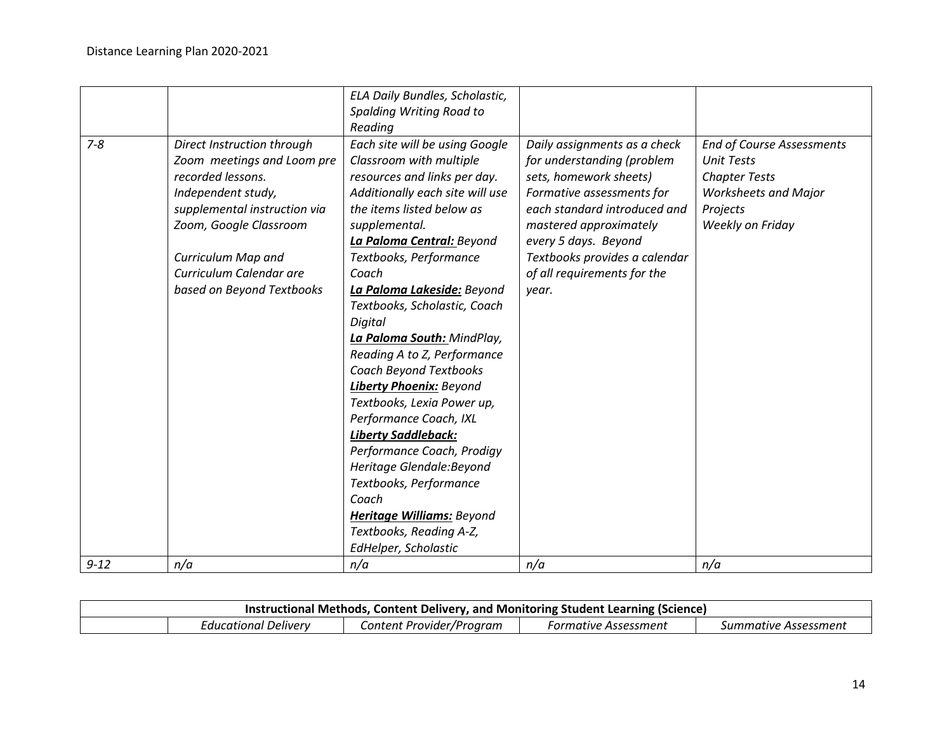|          |                              | ELA Daily Bundles, Scholastic,  |                               |                                  |
|----------|------------------------------|---------------------------------|-------------------------------|----------------------------------|
|          |                              | Spalding Writing Road to        |                               |                                  |
|          |                              | Reading                         |                               |                                  |
| $7 - 8$  | Direct Instruction through   | Each site will be using Google  | Daily assignments as a check  | <b>End of Course Assessments</b> |
|          | Zoom meetings and Loom pre   | Classroom with multiple         | for understanding (problem    | <b>Unit Tests</b>                |
|          | recorded lessons.            | resources and links per day.    | sets, homework sheets)        | <b>Chapter Tests</b>             |
|          | Independent study,           | Additionally each site will use | Formative assessments for     | <b>Worksheets and Major</b>      |
|          | supplemental instruction via | the items listed below as       | each standard introduced and  | Projects                         |
|          | Zoom, Google Classroom       | supplemental.                   | mastered approximately        | Weekly on Friday                 |
|          |                              | La Paloma Central: Beyond       | every 5 days. Beyond          |                                  |
|          | Curriculum Map and           | Textbooks, Performance          | Textbooks provides a calendar |                                  |
|          | Curriculum Calendar are      | Coach                           | of all requirements for the   |                                  |
|          | based on Beyond Textbooks    | La Paloma Lakeside: Beyond      | year.                         |                                  |
|          |                              | Textbooks, Scholastic, Coach    |                               |                                  |
|          |                              | Digital                         |                               |                                  |
|          |                              | La Paloma South: MindPlay,      |                               |                                  |
|          |                              | Reading A to Z, Performance     |                               |                                  |
|          |                              | <b>Coach Beyond Textbooks</b>   |                               |                                  |
|          |                              | <b>Liberty Phoenix: Beyond</b>  |                               |                                  |
|          |                              | Textbooks, Lexia Power up,      |                               |                                  |
|          |                              | Performance Coach, IXL          |                               |                                  |
|          |                              | <b>Liberty Saddleback:</b>      |                               |                                  |
|          |                              | Performance Coach, Prodigy      |                               |                                  |
|          |                              | Heritage Glendale: Beyond       |                               |                                  |
|          |                              | Textbooks, Performance          |                               |                                  |
|          |                              | Coach                           |                               |                                  |
|          |                              | Heritage Williams: Beyond       |                               |                                  |
|          |                              | Textbooks, Reading A-Z,         |                               |                                  |
|          |                              | EdHelper, Scholastic            |                               |                                  |
| $9 - 12$ | n/a                          | n/a                             | n/a                           | n/a                              |

| Instructional Methods, Content Delivery, and Monitoring Student Learning (Science) |                      |                          |                      |                      |
|------------------------------------------------------------------------------------|----------------------|--------------------------|----------------------|----------------------|
|                                                                                    | Educational Delivery | Content Provider/Program | Formative Assessment | Summative Assessment |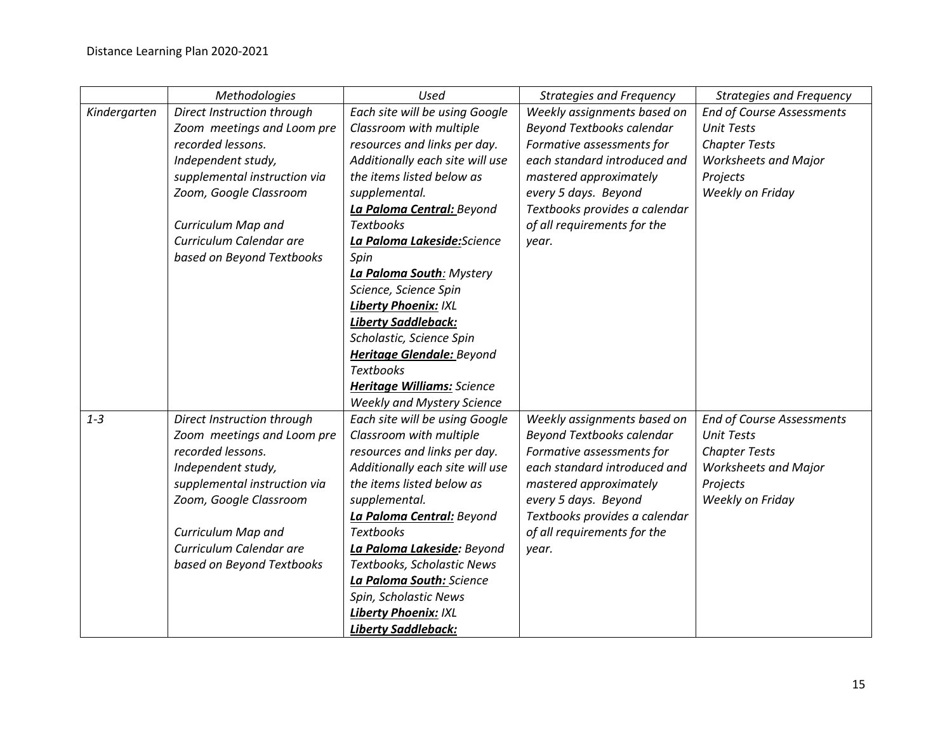|              | Methodologies                | <b>Used</b>                       | <b>Strategies and Frequency</b>  | <b>Strategies and Frequency</b>  |
|--------------|------------------------------|-----------------------------------|----------------------------------|----------------------------------|
| Kindergarten | Direct Instruction through   | Each site will be using Google    | Weekly assignments based on      | <b>End of Course Assessments</b> |
|              | Zoom meetings and Loom pre   | Classroom with multiple           | <b>Beyond Textbooks calendar</b> | <b>Unit Tests</b>                |
|              | recorded lessons.            | resources and links per day.      | Formative assessments for        | <b>Chapter Tests</b>             |
|              | Independent study,           | Additionally each site will use   | each standard introduced and     | <b>Worksheets and Major</b>      |
|              | supplemental instruction via | the items listed below as         | mastered approximately           | Projects                         |
|              | Zoom, Google Classroom       | supplemental.                     | every 5 days. Beyond             | Weekly on Friday                 |
|              |                              | La Paloma Central: Beyond         | Textbooks provides a calendar    |                                  |
|              | Curriculum Map and           | <b>Textbooks</b>                  | of all requirements for the      |                                  |
|              | Curriculum Calendar are      | La Paloma Lakeside:Science        | year.                            |                                  |
|              | based on Beyond Textbooks    | Spin                              |                                  |                                  |
|              |                              | La Paloma South: Mystery          |                                  |                                  |
|              |                              | Science, Science Spin             |                                  |                                  |
|              |                              | <b>Liberty Phoenix: IXL</b>       |                                  |                                  |
|              |                              | <b>Liberty Saddleback:</b>        |                                  |                                  |
|              |                              | Scholastic, Science Spin          |                                  |                                  |
|              |                              | Heritage Glendale: Beyond         |                                  |                                  |
|              |                              | <b>Textbooks</b>                  |                                  |                                  |
|              |                              | <b>Heritage Williams: Science</b> |                                  |                                  |
|              |                              | <b>Weekly and Mystery Science</b> |                                  |                                  |
| $1 - 3$      | Direct Instruction through   | Each site will be using Google    | Weekly assignments based on      | <b>End of Course Assessments</b> |
|              | Zoom meetings and Loom pre   | Classroom with multiple           | <b>Beyond Textbooks calendar</b> | <b>Unit Tests</b>                |
|              | recorded lessons.            | resources and links per day.      | Formative assessments for        | <b>Chapter Tests</b>             |
|              | Independent study,           | Additionally each site will use   | each standard introduced and     | <b>Worksheets and Major</b>      |
|              | supplemental instruction via | the items listed below as         | mastered approximately           | Projects                         |
|              | Zoom, Google Classroom       | supplemental.                     | every 5 days. Beyond             | Weekly on Friday                 |
|              |                              | La Paloma Central: Beyond         | Textbooks provides a calendar    |                                  |
|              | Curriculum Map and           | <b>Textbooks</b>                  | of all requirements for the      |                                  |
|              | Curriculum Calendar are      | La Paloma Lakeside: Beyond        | year.                            |                                  |
|              | based on Beyond Textbooks    | Textbooks, Scholastic News        |                                  |                                  |
|              |                              | La Paloma South: Science          |                                  |                                  |
|              |                              | Spin, Scholastic News             |                                  |                                  |
|              |                              | <b>Liberty Phoenix: IXL</b>       |                                  |                                  |
|              |                              | <b>Liberty Saddleback:</b>        |                                  |                                  |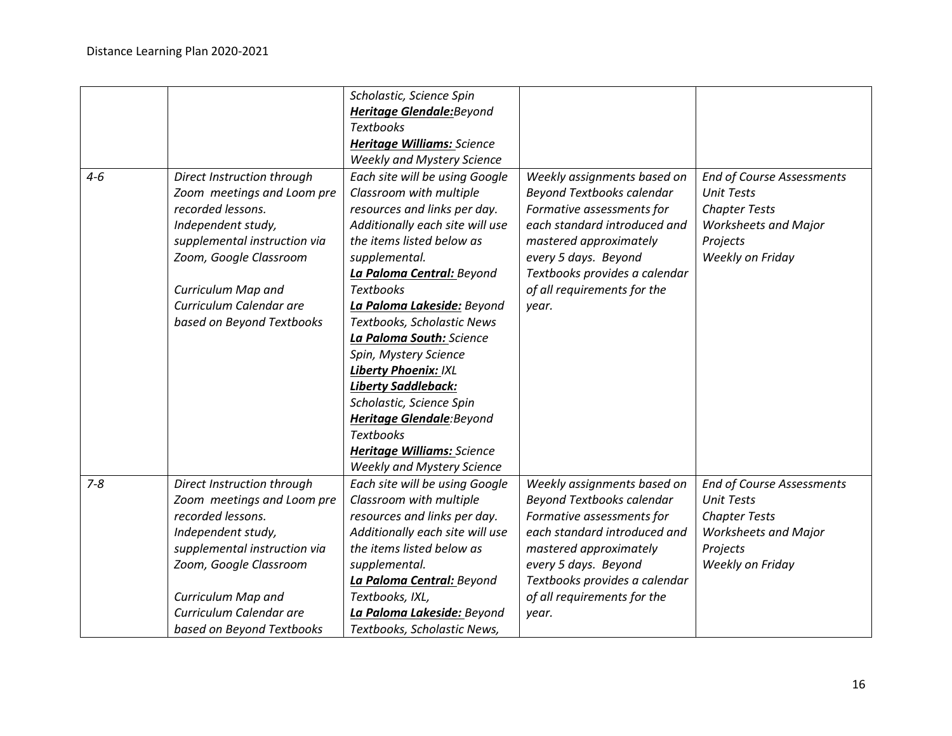|         |                              | Scholastic, Science Spin          |                                  |                                  |
|---------|------------------------------|-----------------------------------|----------------------------------|----------------------------------|
|         |                              | Heritage Glendale: Beyond         |                                  |                                  |
|         |                              | <b>Textbooks</b>                  |                                  |                                  |
|         |                              | <b>Heritage Williams: Science</b> |                                  |                                  |
|         |                              | <b>Weekly and Mystery Science</b> |                                  |                                  |
| $4 - 6$ | Direct Instruction through   | Each site will be using Google    | Weekly assignments based on      | <b>End of Course Assessments</b> |
|         | Zoom meetings and Loom pre   | Classroom with multiple           | <b>Beyond Textbooks calendar</b> | <b>Unit Tests</b>                |
|         | recorded lessons.            | resources and links per day.      | Formative assessments for        | <b>Chapter Tests</b>             |
|         | Independent study,           | Additionally each site will use   | each standard introduced and     | <b>Worksheets and Major</b>      |
|         | supplemental instruction via | the items listed below as         | mastered approximately           | Projects                         |
|         | Zoom, Google Classroom       | supplemental.                     | every 5 days. Beyond             | Weekly on Friday                 |
|         |                              | La Paloma Central: Beyond         | Textbooks provides a calendar    |                                  |
|         | Curriculum Map and           | <b>Textbooks</b>                  | of all requirements for the      |                                  |
|         | Curriculum Calendar are      | La Paloma Lakeside: Beyond        | year.                            |                                  |
|         | based on Beyond Textbooks    | Textbooks, Scholastic News        |                                  |                                  |
|         |                              | La Paloma South: Science          |                                  |                                  |
|         |                              | Spin, Mystery Science             |                                  |                                  |
|         |                              | <b>Liberty Phoenix: IXL</b>       |                                  |                                  |
|         |                              | <b>Liberty Saddleback:</b>        |                                  |                                  |
|         |                              | Scholastic, Science Spin          |                                  |                                  |
|         |                              | Heritage Glendale: Beyond         |                                  |                                  |
|         |                              | <b>Textbooks</b>                  |                                  |                                  |
|         |                              | <b>Heritage Williams: Science</b> |                                  |                                  |
|         |                              | <b>Weekly and Mystery Science</b> |                                  |                                  |
| $7 - 8$ | Direct Instruction through   | Each site will be using Google    | Weekly assignments based on      | <b>End of Course Assessments</b> |
|         | Zoom meetings and Loom pre   | Classroom with multiple           | <b>Beyond Textbooks calendar</b> | <b>Unit Tests</b>                |
|         | recorded lessons.            | resources and links per day.      | Formative assessments for        | <b>Chapter Tests</b>             |
|         | Independent study,           | Additionally each site will use   | each standard introduced and     | <b>Worksheets and Major</b>      |
|         | supplemental instruction via | the items listed below as         | mastered approximately           | Projects                         |
|         | Zoom, Google Classroom       | supplemental.                     | every 5 days. Beyond             | Weekly on Friday                 |
|         |                              | La Paloma Central: Beyond         | Textbooks provides a calendar    |                                  |
|         | Curriculum Map and           | Textbooks, IXL,                   | of all requirements for the      |                                  |
|         | Curriculum Calendar are      | La Paloma Lakeside: Beyond        | year.                            |                                  |
|         | based on Beyond Textbooks    | Textbooks, Scholastic News,       |                                  |                                  |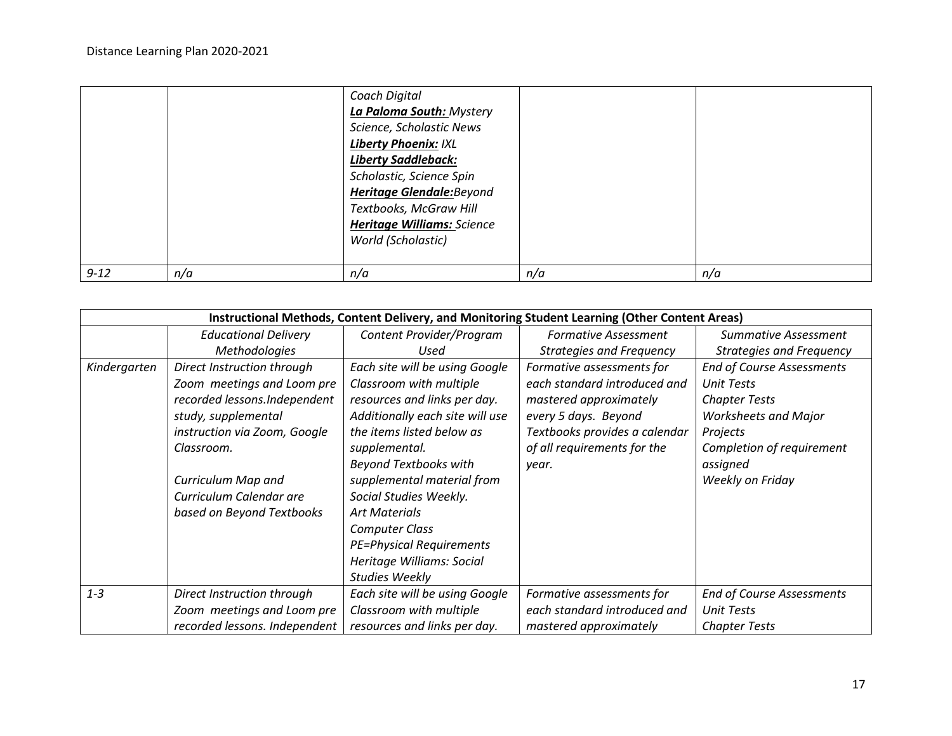|          |     | Coach Digital                     |     |     |
|----------|-----|-----------------------------------|-----|-----|
|          |     | La Paloma South: Mystery          |     |     |
|          |     | Science, Scholastic News          |     |     |
|          |     | <b>Liberty Phoenix: IXL</b>       |     |     |
|          |     | <b>Liberty Saddleback:</b>        |     |     |
|          |     | Scholastic, Science Spin          |     |     |
|          |     | <b>Heritage Glendale:</b> Beyond  |     |     |
|          |     | Textbooks, McGraw Hill            |     |     |
|          |     | <b>Heritage Williams: Science</b> |     |     |
|          |     | World (Scholastic)                |     |     |
|          |     |                                   |     |     |
| $9 - 12$ | n/a | n/a                               | n/a | n/a |

|              | Instructional Methods, Content Delivery, and Monitoring Student Learning (Other Content Areas) |                                 |                                 |                                  |  |
|--------------|------------------------------------------------------------------------------------------------|---------------------------------|---------------------------------|----------------------------------|--|
|              | <b>Educational Delivery</b>                                                                    | Content Provider/Program        | <b>Formative Assessment</b>     | <b>Summative Assessment</b>      |  |
|              | <b>Methodologies</b>                                                                           | Used                            | <b>Strategies and Frequency</b> | <b>Strategies and Frequency</b>  |  |
| Kindergarten | Direct Instruction through                                                                     | Each site will be using Google  | Formative assessments for       | <b>End of Course Assessments</b> |  |
|              | Zoom meetings and Loom pre                                                                     | Classroom with multiple         | each standard introduced and    | <b>Unit Tests</b>                |  |
|              | recorded lessons.Independent                                                                   | resources and links per day.    | mastered approximately          | <b>Chapter Tests</b>             |  |
|              | study, supplemental                                                                            | Additionally each site will use | every 5 days. Beyond            | <b>Worksheets and Major</b>      |  |
|              | instruction via Zoom, Google                                                                   | the items listed below as       | Textbooks provides a calendar   | Projects                         |  |
|              | Classroom.                                                                                     | supplemental.                   | of all requirements for the     | Completion of requirement        |  |
|              |                                                                                                | <b>Beyond Textbooks with</b>    | year.                           | assigned                         |  |
|              | Curriculum Map and                                                                             | supplemental material from      |                                 | Weekly on Friday                 |  |
|              | Curriculum Calendar are                                                                        | Social Studies Weekly.          |                                 |                                  |  |
|              | based on Beyond Textbooks                                                                      | <b>Art Materials</b>            |                                 |                                  |  |
|              |                                                                                                | <b>Computer Class</b>           |                                 |                                  |  |
|              |                                                                                                | <b>PE=Physical Requirements</b> |                                 |                                  |  |
|              |                                                                                                | Heritage Williams: Social       |                                 |                                  |  |
|              |                                                                                                | <b>Studies Weekly</b>           |                                 |                                  |  |
| $1 - 3$      | Direct Instruction through                                                                     | Each site will be using Google  | Formative assessments for       | <b>End of Course Assessments</b> |  |
|              | Zoom meetings and Loom pre                                                                     | Classroom with multiple         | each standard introduced and    | <b>Unit Tests</b>                |  |
|              | recorded lessons. Independent                                                                  | resources and links per day.    | mastered approximately          | <b>Chapter Tests</b>             |  |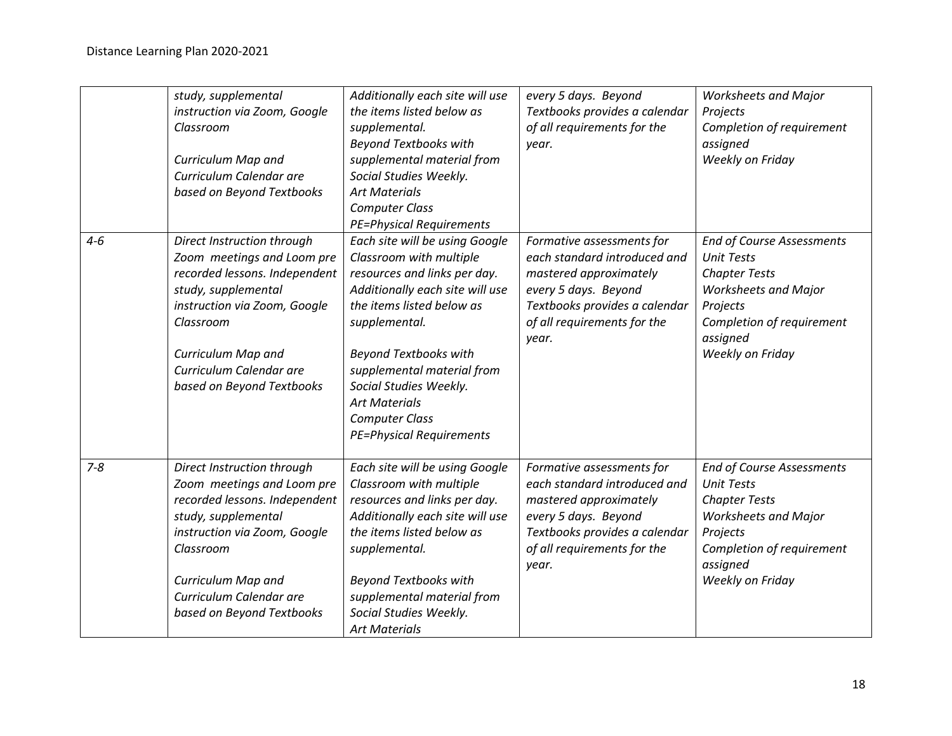|         | study, supplemental<br>instruction via Zoom, Google<br>Classroom<br>Curriculum Map and<br>Curriculum Calendar are<br>based on Beyond Textbooks                                                                                              | Additionally each site will use<br>the items listed below as<br>supplemental.<br><b>Beyond Textbooks with</b><br>supplemental material from<br>Social Studies Weekly.<br><b>Art Materials</b><br><b>Computer Class</b><br><b>PE=Physical Requirements</b>                                                                                              | every 5 days. Beyond<br>Textbooks provides a calendar<br>of all requirements for the<br>year.                                                                                        | <b>Worksheets and Major</b><br>Projects<br>Completion of requirement<br>assigned<br>Weekly on Friday                                                                                  |
|---------|---------------------------------------------------------------------------------------------------------------------------------------------------------------------------------------------------------------------------------------------|--------------------------------------------------------------------------------------------------------------------------------------------------------------------------------------------------------------------------------------------------------------------------------------------------------------------------------------------------------|--------------------------------------------------------------------------------------------------------------------------------------------------------------------------------------|---------------------------------------------------------------------------------------------------------------------------------------------------------------------------------------|
| $4 - 6$ | Direct Instruction through<br>Zoom meetings and Loom pre<br>recorded lessons. Independent<br>study, supplemental<br>instruction via Zoom, Google<br>Classroom<br>Curriculum Map and<br>Curriculum Calendar are<br>based on Beyond Textbooks | Each site will be using Google<br>Classroom with multiple<br>resources and links per day.<br>Additionally each site will use<br>the items listed below as<br>supplemental.<br><b>Beyond Textbooks with</b><br>supplemental material from<br>Social Studies Weekly.<br><b>Art Materials</b><br><b>Computer Class</b><br><b>PE=Physical Requirements</b> | Formative assessments for<br>each standard introduced and<br>mastered approximately<br>every 5 days. Beyond<br>Textbooks provides a calendar<br>of all requirements for the<br>year. | <b>End of Course Assessments</b><br><b>Unit Tests</b><br><b>Chapter Tests</b><br><b>Worksheets and Major</b><br>Projects<br>Completion of requirement<br>assigned<br>Weekly on Friday |
| $7 - 8$ | Direct Instruction through<br>Zoom meetings and Loom pre<br>recorded lessons. Independent<br>study, supplemental<br>instruction via Zoom, Google<br>Classroom<br>Curriculum Map and<br>Curriculum Calendar are<br>based on Beyond Textbooks | Each site will be using Google<br>Classroom with multiple<br>resources and links per day.<br>Additionally each site will use<br>the items listed below as<br>supplemental.<br><b>Beyond Textbooks with</b><br>supplemental material from<br>Social Studies Weekly.<br><b>Art Materials</b>                                                             | Formative assessments for<br>each standard introduced and<br>mastered approximately<br>every 5 days. Beyond<br>Textbooks provides a calendar<br>of all requirements for the<br>year. | <b>End of Course Assessments</b><br><b>Unit Tests</b><br><b>Chapter Tests</b><br><b>Worksheets and Major</b><br>Projects<br>Completion of requirement<br>assigned<br>Weekly on Friday |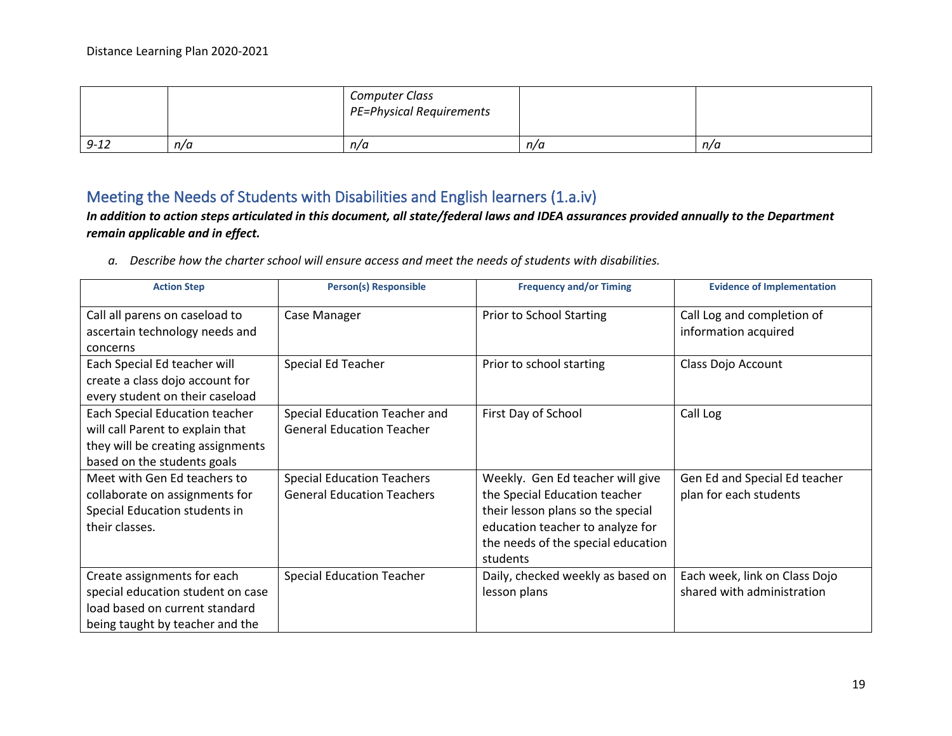|          |     | <b>Computer Class</b><br>PE=Physical Requirements |     |     |
|----------|-----|---------------------------------------------------|-----|-----|
| $9 - 12$ | n/a | n/a                                               | n/a | n/a |

### Meeting the Needs of Students with Disabilities and English learners (1.a.iv)

*In addition to action steps articulated in this document, all state/federal laws and IDEA assurances provided annually to the Department remain applicable and in effect.*

*a. Describe how the charter school will ensure access and meet the needs of students with disabilities.*

| <b>Action Step</b>                                                                                                                     | <b>Person(s) Responsible</b>                                           | <b>Frequency and/or Timing</b>                                                                                                                                                               | <b>Evidence of Implementation</b>                           |
|----------------------------------------------------------------------------------------------------------------------------------------|------------------------------------------------------------------------|----------------------------------------------------------------------------------------------------------------------------------------------------------------------------------------------|-------------------------------------------------------------|
| Call all parens on caseload to<br>ascertain technology needs and<br>concerns                                                           | Case Manager                                                           | Prior to School Starting                                                                                                                                                                     | Call Log and completion of<br>information acquired          |
| Each Special Ed teacher will<br>create a class dojo account for<br>every student on their caseload                                     | Special Ed Teacher                                                     | Prior to school starting                                                                                                                                                                     | Class Dojo Account                                          |
| Each Special Education teacher<br>will call Parent to explain that<br>they will be creating assignments<br>based on the students goals | Special Education Teacher and<br><b>General Education Teacher</b>      | First Day of School                                                                                                                                                                          | Call Log                                                    |
| Meet with Gen Ed teachers to<br>collaborate on assignments for<br>Special Education students in<br>their classes.                      | <b>Special Education Teachers</b><br><b>General Education Teachers</b> | Weekly. Gen Ed teacher will give<br>the Special Education teacher<br>their lesson plans so the special<br>education teacher to analyze for<br>the needs of the special education<br>students | Gen Ed and Special Ed teacher<br>plan for each students     |
| Create assignments for each<br>special education student on case<br>load based on current standard<br>being taught by teacher and the  | <b>Special Education Teacher</b>                                       | Daily, checked weekly as based on<br>lesson plans                                                                                                                                            | Each week, link on Class Dojo<br>shared with administration |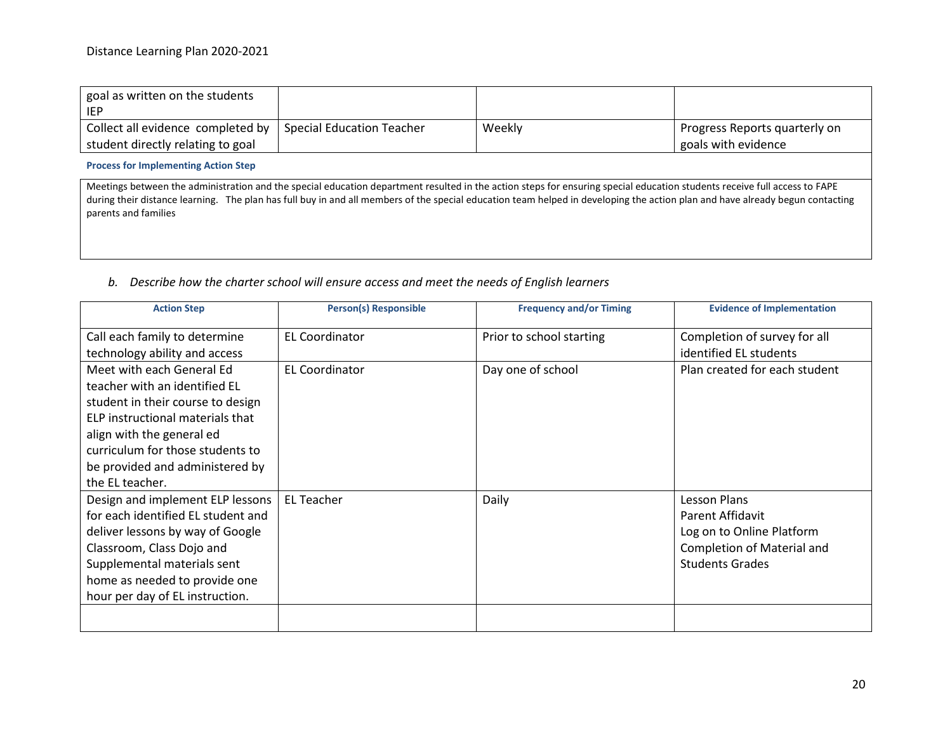| goal as written on the students<br><b>IEP</b> |                           |        |                               |
|-----------------------------------------------|---------------------------|--------|-------------------------------|
| Collect all evidence completed by             | Special Education Teacher | Weekly | Progress Reports quarterly on |
| student directly relating to goal             |                           |        | goals with evidence           |

**Process for Implementing Action Step**

Meetings between the administration and the special education department resulted in the action steps for ensuring special education students receive full access to FAPE during their distance learning. The plan has full buy in and all members of the special education team helped in developing the action plan and have already begun contacting parents and families

#### *b. Describe how the charter school will ensure access and meet the needs of English learners*

| <b>Person(s) Responsible</b> | <b>Frequency and/or Timing</b> | <b>Evidence of Implementation</b>                                                                                     |
|------------------------------|--------------------------------|-----------------------------------------------------------------------------------------------------------------------|
| <b>EL Coordinator</b>        | Prior to school starting       | Completion of survey for all<br>identified EL students                                                                |
| <b>EL Coordinator</b>        | Day one of school              | Plan created for each student                                                                                         |
| <b>EL Teacher</b>            | Daily                          | Lesson Plans<br>Parent Affidavit<br>Log on to Online Platform<br>Completion of Material and<br><b>Students Grades</b> |
|                              |                                |                                                                                                                       |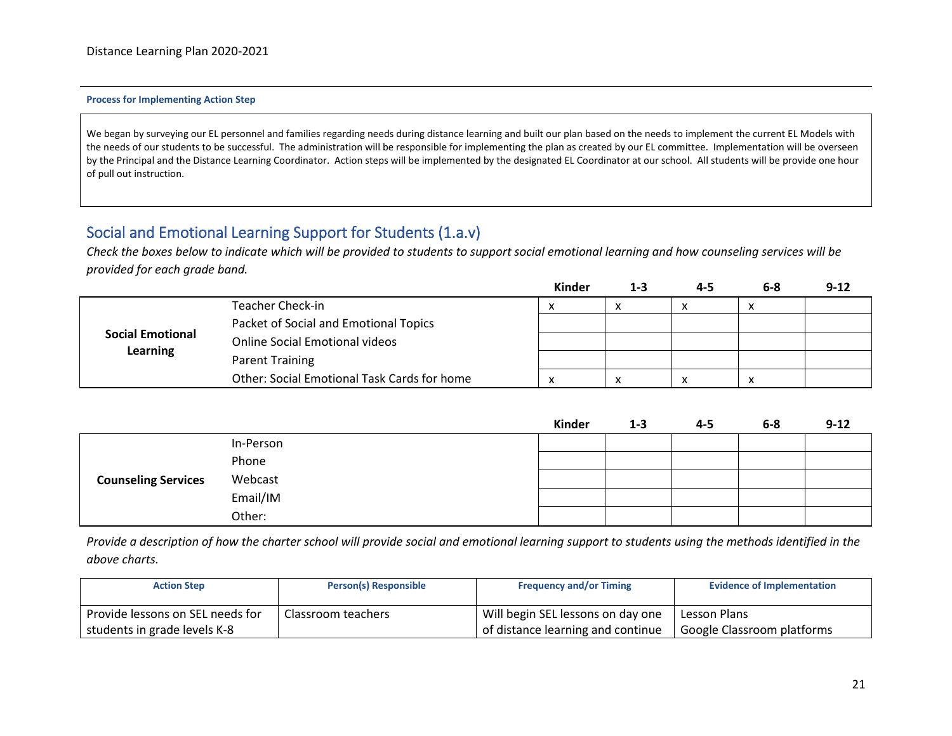#### **Process for Implementing Action Step**

We began by surveying our EL personnel and families regarding needs during distance learning and built our plan based on the needs to implement the current EL Models with the needs of our students to be successful. The administration will be responsible for implementing the plan as created by our EL committee. Implementation will be overseen by the Principal and the Distance Learning Coordinator. Action steps will be implemented by the designated EL Coordinator at our school. All students will be provide one hour of pull out instruction.

### Social and Emotional Learning Support for Students (1.a.v)

*Check the boxes below to indicate which will be provided to students to support social emotional learning and how counseling services will be provided for each grade band.*

|                                                                  |                                             | Kinder | $1 - 3$ | 4-5 | $6 - 8$      | $9 - 12$ |
|------------------------------------------------------------------|---------------------------------------------|--------|---------|-----|--------------|----------|
|                                                                  | <b>Teacher Check-in</b>                     | x      |         | ́   | $\mathbf{v}$ |          |
|                                                                  | Packet of Social and Emotional Topics       |        |         |     |              |          |
| <b>Social Emotional</b><br><b>Online Social Emotional videos</b> |                                             |        |         |     |              |          |
| <b>Learning</b>                                                  | <b>Parent Training</b>                      |        |         |     |              |          |
|                                                                  | Other: Social Emotional Task Cards for home | v<br>◠ |         | ↗   | $\lambda$    |          |

|                            |           | <b>Kinder</b> | $1 - 3$ | $4 - 5$ | $6-8$ | $9 - 12$ |
|----------------------------|-----------|---------------|---------|---------|-------|----------|
|                            | In-Person |               |         |         |       |          |
|                            | Phone     |               |         |         |       |          |
| <b>Counseling Services</b> | Webcast   |               |         |         |       |          |
|                            | Email/IM  |               |         |         |       |          |
|                            | Other:    |               |         |         |       |          |

*Provide a description of how the charter school will provide social and emotional learning support to students using the methods identified in the above charts.*

| <b>Action Step</b>               | Person(s) Responsible | <b>Frequency and/or Timing</b>    | <b>Evidence of Implementation</b> |
|----------------------------------|-----------------------|-----------------------------------|-----------------------------------|
| Provide lessons on SEL needs for | Classroom teachers    | Will begin SEL lessons on day one | Lesson Plans                      |
| students in grade levels K-8     |                       | of distance learning and continue | Google Classroom platforms        |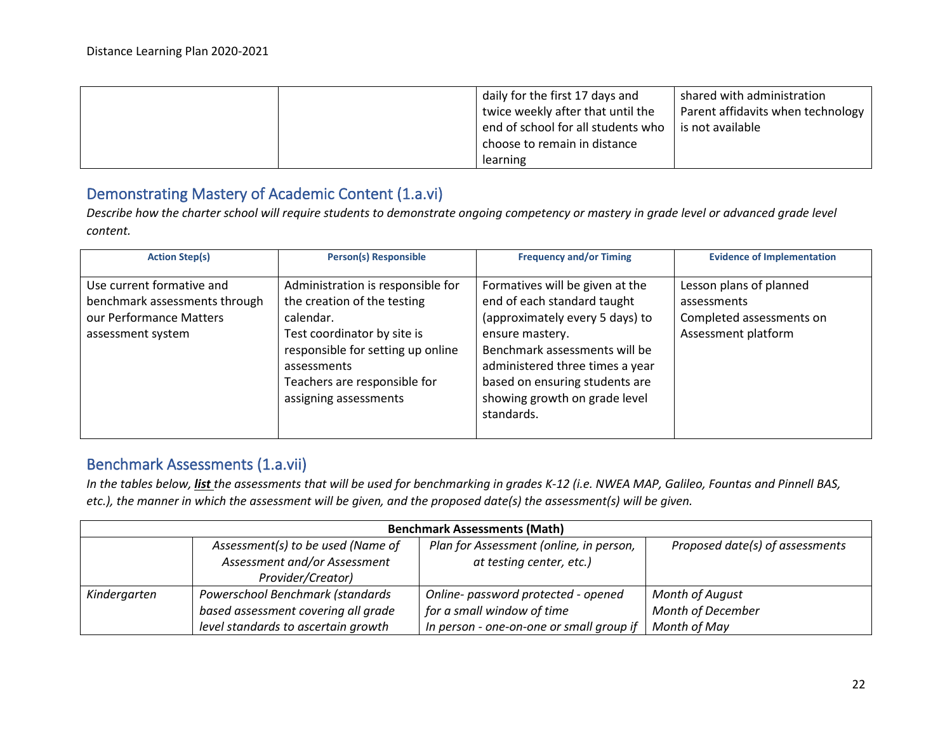|  | daily for the first 17 days and    | shared with administration        |
|--|------------------------------------|-----------------------------------|
|  | twice weekly after that until the  | Parent affidavits when technology |
|  | end of school for all students who | is not available                  |
|  | choose to remain in distance       |                                   |
|  | learning                           |                                   |

### Demonstrating Mastery of Academic Content (1.a.vi)

*Describe how the charter school will require students to demonstrate ongoing competency or mastery in grade level or advanced grade level content.* 

| <b>Action Step(s)</b>                                                                                      | <b>Person(s) Responsible</b>                                                                                                                                                                                              | <b>Frequency and/or Timing</b>                                                                                                                                                                                                                                            | <b>Evidence of Implementation</b>                                                         |
|------------------------------------------------------------------------------------------------------------|---------------------------------------------------------------------------------------------------------------------------------------------------------------------------------------------------------------------------|---------------------------------------------------------------------------------------------------------------------------------------------------------------------------------------------------------------------------------------------------------------------------|-------------------------------------------------------------------------------------------|
| Use current formative and<br>benchmark assessments through<br>our Performance Matters<br>assessment system | Administration is responsible for<br>the creation of the testing<br>calendar.<br>Test coordinator by site is<br>responsible for setting up online<br>assessments<br>Teachers are responsible for<br>assigning assessments | Formatives will be given at the<br>end of each standard taught<br>(approximately every 5 days) to<br>ensure mastery.<br>Benchmark assessments will be<br>administered three times a year<br>based on ensuring students are<br>showing growth on grade level<br>standards. | Lesson plans of planned<br>assessments<br>Completed assessments on<br>Assessment platform |

# Benchmark Assessments (1.a.vii)

*In the tables below, list the assessments that will be used for benchmarking in grades K-12 (i.e. NWEA MAP, Galileo, Fountas and Pinnell BAS, etc.), the manner in which the assessment will be given, and the proposed date(s) the assessment(s) will be given.*

| <b>Benchmark Assessments (Math)</b> |                                                                   |                                                                     |                                 |
|-------------------------------------|-------------------------------------------------------------------|---------------------------------------------------------------------|---------------------------------|
|                                     | Assessment(s) to be used (Name of<br>Assessment and/or Assessment | Plan for Assessment (online, in person,<br>at testing center, etc.) | Proposed date(s) of assessments |
|                                     | Provider/Creator)                                                 |                                                                     |                                 |
| Kindergarten                        | Powerschool Benchmark (standards                                  | Online- password protected - opened                                 | <b>Month of August</b>          |
|                                     | based assessment covering all grade                               | for a small window of time                                          | <b>Month of December</b>        |
|                                     | level standards to ascertain growth                               | In person - one-on-one or small group if                            | Month of May                    |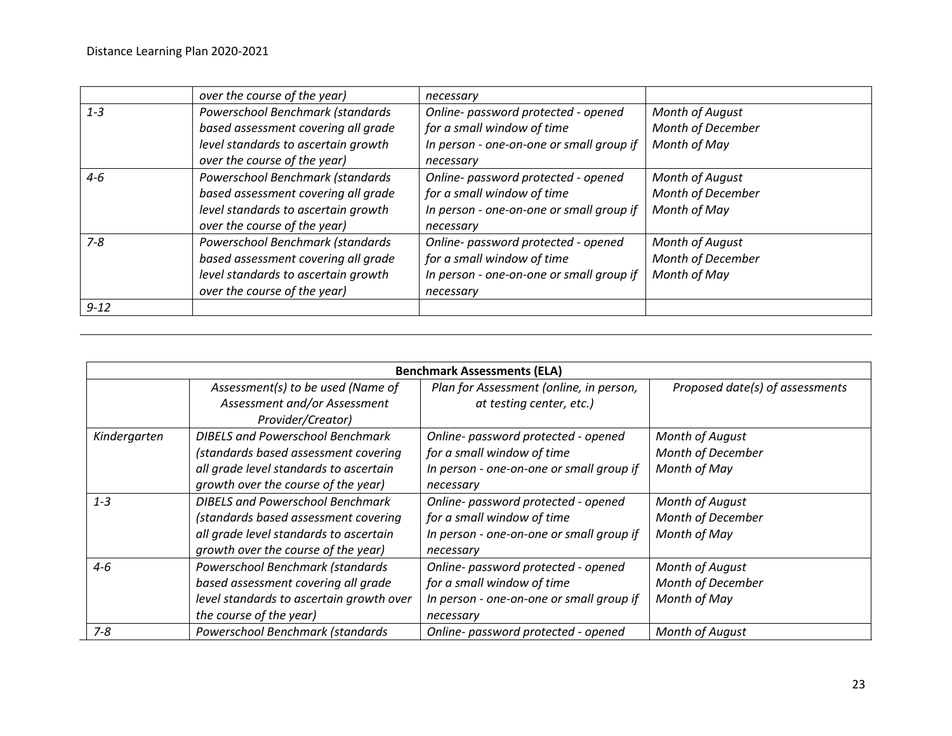|          | over the course of the year)        | necessary                                |                        |
|----------|-------------------------------------|------------------------------------------|------------------------|
| $1 - 3$  | Powerschool Benchmark (standards    | Online- password protected - opened      | <b>Month of August</b> |
|          | based assessment covering all grade | for a small window of time               | Month of December      |
|          | level standards to ascertain growth | In person - one-on-one or small group if | Month of May           |
|          | over the course of the year)        | necessary                                |                        |
| $4 - 6$  | Powerschool Benchmark (standards    | Online- password protected - opened      | <b>Month of August</b> |
|          | based assessment covering all grade | for a small window of time               | Month of December      |
|          | level standards to ascertain growth | In person - one-on-one or small group if | Month of May           |
|          | over the course of the year)        | necessary                                |                        |
| $7 - 8$  | Powerschool Benchmark (standards    | Online- password protected - opened      | <b>Month of August</b> |
|          | based assessment covering all grade | for a small window of time               | Month of December      |
|          | level standards to ascertain growth | In person - one-on-one or small group if | Month of May           |
|          | over the course of the year)        | necessary                                |                        |
| $9 - 12$ |                                     |                                          |                        |

| <b>Benchmark Assessments (ELA)</b> |                                                                                                                                                                  |                                                                                                                            |                                                      |
|------------------------------------|------------------------------------------------------------------------------------------------------------------------------------------------------------------|----------------------------------------------------------------------------------------------------------------------------|------------------------------------------------------|
|                                    | Assessment(s) to be used (Name of<br>Assessment and/or Assessment<br>Provider/Creator)                                                                           | Plan for Assessment (online, in person,<br>at testing center, etc.)                                                        | Proposed date(s) of assessments                      |
| Kindergarten                       | <b>DIBELS and Powerschool Benchmark</b><br>(standards based assessment covering<br>all grade level standards to ascertain<br>growth over the course of the year) | Online- password protected - opened<br>for a small window of time<br>In person - one-on-one or small group if<br>necessary | Month of August<br>Month of December<br>Month of May |
| $1 - 3$                            | <b>DIBELS and Powerschool Benchmark</b><br>(standards based assessment covering<br>all grade level standards to ascertain<br>growth over the course of the year) | Online- password protected - opened<br>for a small window of time<br>In person - one-on-one or small group if<br>necessary | Month of August<br>Month of December<br>Month of May |
| $4 - 6$                            | Powerschool Benchmark (standards<br>based assessment covering all grade<br>level standards to ascertain growth over<br>the course of the year)                   | Online- password protected - opened<br>for a small window of time<br>In person - one-on-one or small group if<br>necessary | Month of August<br>Month of December<br>Month of May |
| 7-8                                | Powerschool Benchmark (standards                                                                                                                                 | Online- password protected - opened                                                                                        | Month of August                                      |